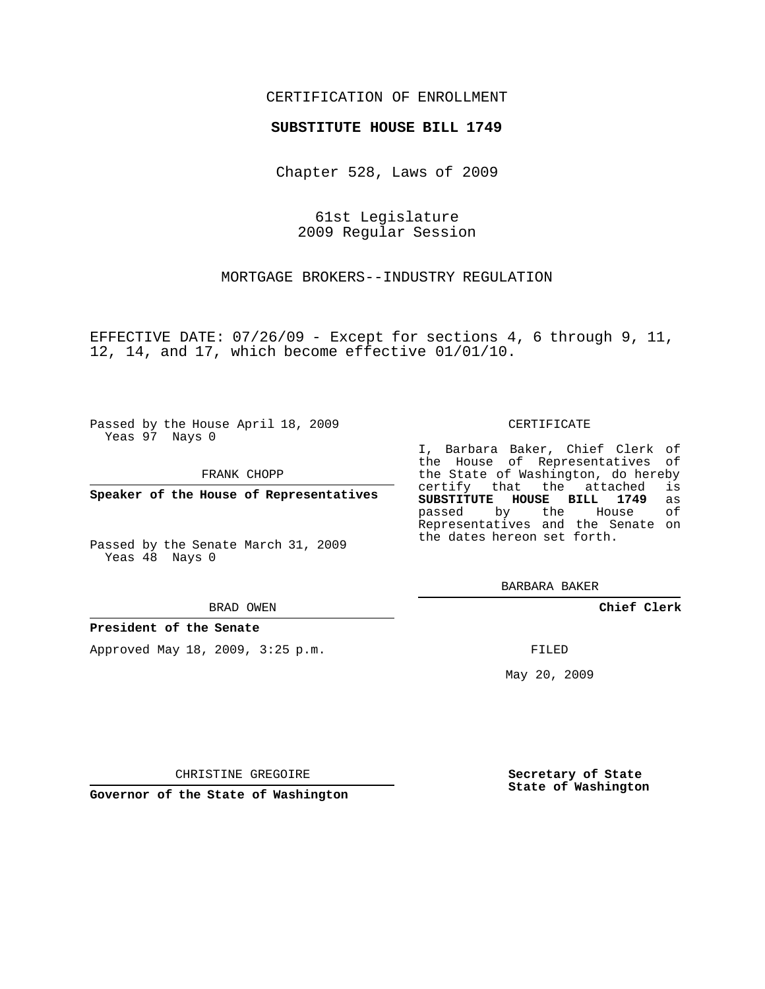### CERTIFICATION OF ENROLLMENT

#### **SUBSTITUTE HOUSE BILL 1749**

Chapter 528, Laws of 2009

61st Legislature 2009 Regular Session

MORTGAGE BROKERS--INDUSTRY REGULATION

EFFECTIVE DATE: 07/26/09 - Except for sections 4, 6 through 9, 11, 12, 14, and 17, which become effective 01/01/10.

Passed by the House April 18, 2009 Yeas 97 Nays 0

FRANK CHOPP

**Speaker of the House of Representatives**

Passed by the Senate March 31, 2009 Yeas 48 Nays 0

#### BRAD OWEN

**President of the Senate**

Approved May 18, 2009, 3:25 p.m.

#### CERTIFICATE

I, Barbara Baker, Chief Clerk of the House of Representatives of the State of Washington, do hereby<br>certify that the attached is certify that the attached **SUBSTITUTE HOUSE BILL 1749** as passed by the House of Representatives and the Senate on the dates hereon set forth.

BARBARA BAKER

**Chief Clerk**

FILED

May 20, 2009

**Secretary of State State of Washington**

CHRISTINE GREGOIRE

**Governor of the State of Washington**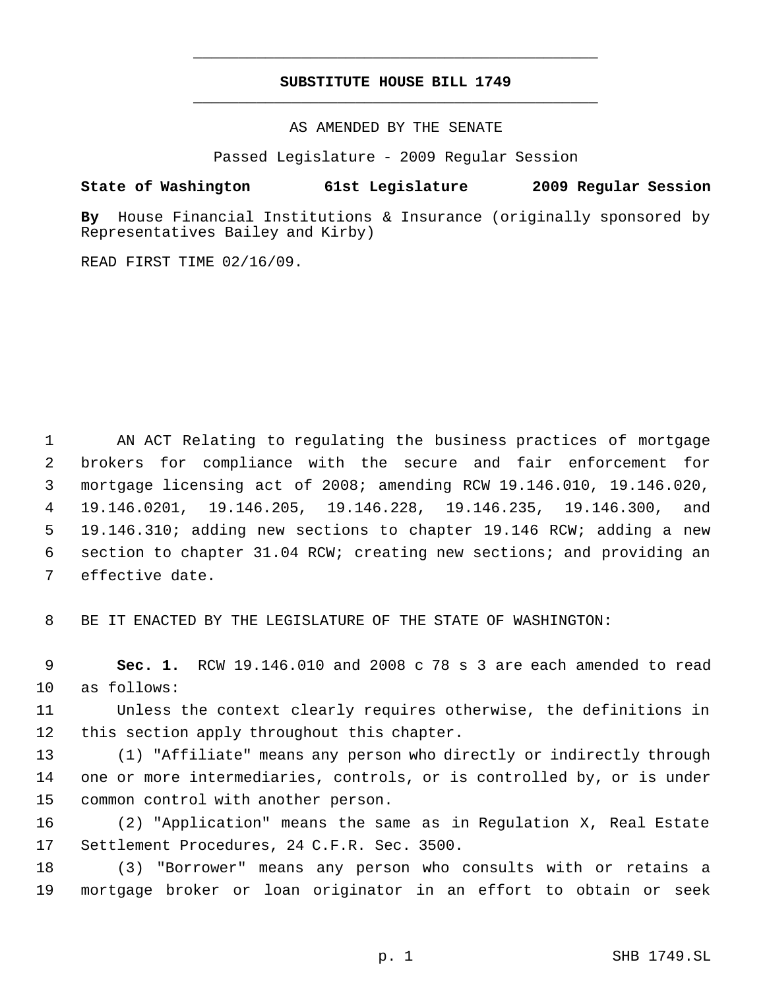# **SUBSTITUTE HOUSE BILL 1749** \_\_\_\_\_\_\_\_\_\_\_\_\_\_\_\_\_\_\_\_\_\_\_\_\_\_\_\_\_\_\_\_\_\_\_\_\_\_\_\_\_\_\_\_\_

\_\_\_\_\_\_\_\_\_\_\_\_\_\_\_\_\_\_\_\_\_\_\_\_\_\_\_\_\_\_\_\_\_\_\_\_\_\_\_\_\_\_\_\_\_

AS AMENDED BY THE SENATE

Passed Legislature - 2009 Regular Session

## **State of Washington 61st Legislature 2009 Regular Session**

**By** House Financial Institutions & Insurance (originally sponsored by Representatives Bailey and Kirby)

READ FIRST TIME 02/16/09.

 AN ACT Relating to regulating the business practices of mortgage brokers for compliance with the secure and fair enforcement for mortgage licensing act of 2008; amending RCW 19.146.010, 19.146.020, 19.146.0201, 19.146.205, 19.146.228, 19.146.235, 19.146.300, and 19.146.310; adding new sections to chapter 19.146 RCW; adding a new section to chapter 31.04 RCW; creating new sections; and providing an effective date.

BE IT ENACTED BY THE LEGISLATURE OF THE STATE OF WASHINGTON:

 **Sec. 1.** RCW 19.146.010 and 2008 c 78 s 3 are each amended to read as follows:

 Unless the context clearly requires otherwise, the definitions in this section apply throughout this chapter.

 (1) "Affiliate" means any person who directly or indirectly through one or more intermediaries, controls, or is controlled by, or is under common control with another person.

 (2) "Application" means the same as in Regulation X, Real Estate Settlement Procedures, 24 C.F.R. Sec. 3500.

 (3) "Borrower" means any person who consults with or retains a mortgage broker or loan originator in an effort to obtain or seek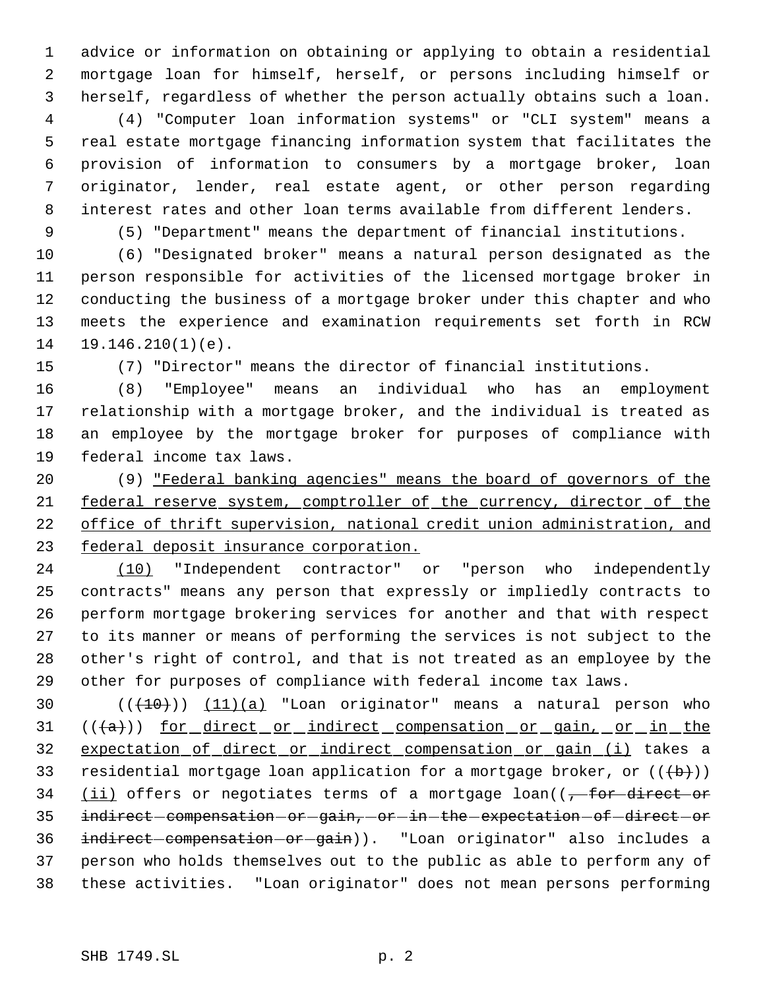advice or information on obtaining or applying to obtain a residential mortgage loan for himself, herself, or persons including himself or herself, regardless of whether the person actually obtains such a loan.

 (4) "Computer loan information systems" or "CLI system" means a real estate mortgage financing information system that facilitates the provision of information to consumers by a mortgage broker, loan originator, lender, real estate agent, or other person regarding interest rates and other loan terms available from different lenders.

(5) "Department" means the department of financial institutions.

 (6) "Designated broker" means a natural person designated as the person responsible for activities of the licensed mortgage broker in conducting the business of a mortgage broker under this chapter and who meets the experience and examination requirements set forth in RCW 19.146.210(1)(e).

(7) "Director" means the director of financial institutions.

 (8) "Employee" means an individual who has an employment relationship with a mortgage broker, and the individual is treated as an employee by the mortgage broker for purposes of compliance with federal income tax laws.

 (9) "Federal banking agencies" means the board of governors of the 21 federal reserve system, comptroller of the currency, director of the office of thrift supervision, national credit union administration, and federal deposit insurance corporation.

 (10) "Independent contractor" or "person who independently contracts" means any person that expressly or impliedly contracts to perform mortgage brokering services for another and that with respect to its manner or means of performing the services is not subject to the other's right of control, and that is not treated as an employee by the other for purposes of compliance with federal income tax laws.

30  $((+10))$   $(11)(a)$  "Loan originator" means a natural person who 31 (((a))) for direct or indirect compensation or gain, or in the expectation of direct or indirect compensation or gain (i) takes a 33 residential mortgage loan application for a mortgage broker, or  $((+b))$ 34 (ii) offers or negotiates terms of a mortgage loan((<del>, for direct or</del> 35 indirect-compensation-or-gain, or-in-the-expectation-of-direct-or indirect compensation or gain)). "Loan originator" also includes a person who holds themselves out to the public as able to perform any of these activities. "Loan originator" does not mean persons performing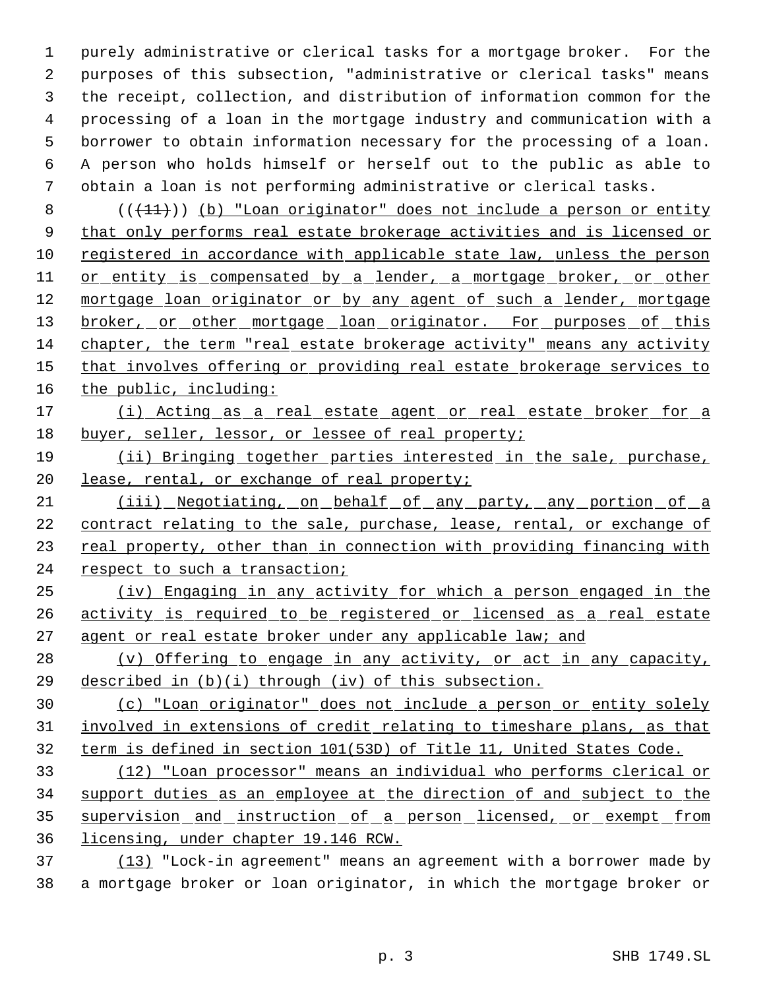purely administrative or clerical tasks for a mortgage broker. For the purposes of this subsection, "administrative or clerical tasks" means the receipt, collection, and distribution of information common for the processing of a loan in the mortgage industry and communication with a borrower to obtain information necessary for the processing of a loan. A person who holds himself or herself out to the public as able to obtain a loan is not performing administrative or clerical tasks.

8  $((+11))$  (b) "Loan originator" does not include a person or entity 9 that only performs real estate brokerage activities and is licensed or registered in accordance with applicable state law, unless the person 11 or entity is compensated by a lender, a mortgage broker, or other 12 mortgage loan originator or by any agent of such a lender, mortgage 13 broker, or other mortgage loan originator. For purposes of this chapter, the term "real estate brokerage activity" means any activity 15 that involves offering or providing real estate brokerage services to 16 the public, including:

# 17 (i) Acting as a real estate agent or real estate broker for a buyer, seller, lessor, or lessee of real property;

 (ii) Bringing together parties interested in the sale, purchase, 20 lease, rental, or exchange of real property;

21 (iii) Negotiating, on behalf of any party, any portion of a 22 contract relating to the sale, purchase, lease, rental, or exchange of 23 real property, other than in connection with providing financing with respect to such a transaction;

- (iv) Engaging in any activity for which a person engaged in the activity is required to be registered or licensed as a real estate 27 agent or real estate broker under any applicable law; and
- (v) Offering to engage in any activity, or act in any capacity, described in (b)(i) through (iv) of this subsection.

 (c) "Loan originator" does not include a person or entity solely involved in extensions of credit relating to timeshare plans, as that term is defined in section 101(53D) of Title 11, United States Code.

 (12) "Loan processor" means an individual who performs clerical or support duties as an employee at the direction of and subject to the 35 supervision and instruction of a person licensed, or exempt from licensing, under chapter 19.146 RCW.

 (13) "Lock-in agreement" means an agreement with a borrower made by a mortgage broker or loan originator, in which the mortgage broker or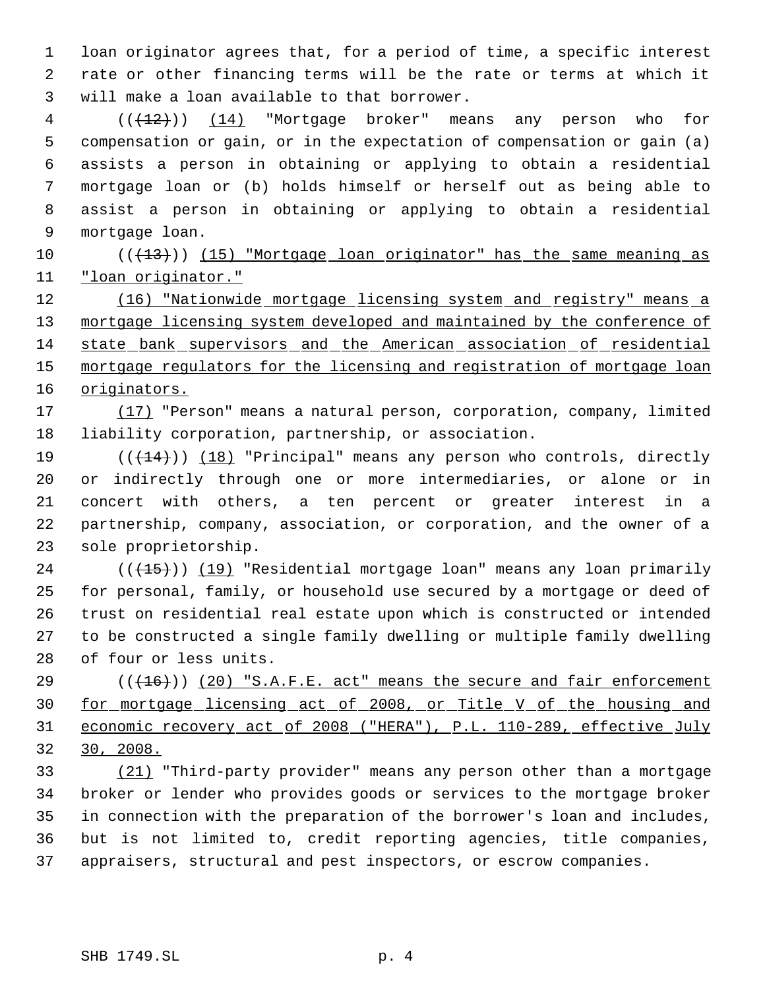loan originator agrees that, for a period of time, a specific interest rate or other financing terms will be the rate or terms at which it will make a loan available to that borrower.

 ( $(\overline{+2})$ ) (14) "Mortgage broker" means any person who for compensation or gain, or in the expectation of compensation or gain (a) assists a person in obtaining or applying to obtain a residential mortgage loan or (b) holds himself or herself out as being able to assist a person in obtaining or applying to obtain a residential mortgage loan.

10 (( $\left(\frac{13}{15}\right)$ ) (15) "Mortgage loan originator" has the same meaning as "loan originator."

12 (16) "Nationwide mortgage licensing system and registry" means a 13 mortgage licensing system developed and maintained by the conference of state bank supervisors and the American association of residential mortgage regulators for the licensing and registration of mortgage loan originators.

 (17) "Person" means a natural person, corporation, company, limited liability corporation, partnership, or association.

 $((+14))$   $(18)$  "Principal" means any person who controls, directly or indirectly through one or more intermediaries, or alone or in concert with others, a ten percent or greater interest in a partnership, company, association, or corporation, and the owner of a sole proprietorship.

24 (((15))) (19) "Residential mortgage loan" means any loan primarily for personal, family, or household use secured by a mortgage or deed of trust on residential real estate upon which is constructed or intended to be constructed a single family dwelling or multiple family dwelling of four or less units.

29 (( $(16)$ )) (20) "S.A.F.E. act" means the secure and fair enforcement for mortgage licensing act of 2008, or Title V of the housing and economic recovery act of 2008 ("HERA"), P.L. 110-289, effective July 30, 2008.

 (21) "Third-party provider" means any person other than a mortgage broker or lender who provides goods or services to the mortgage broker in connection with the preparation of the borrower's loan and includes, but is not limited to, credit reporting agencies, title companies, appraisers, structural and pest inspectors, or escrow companies.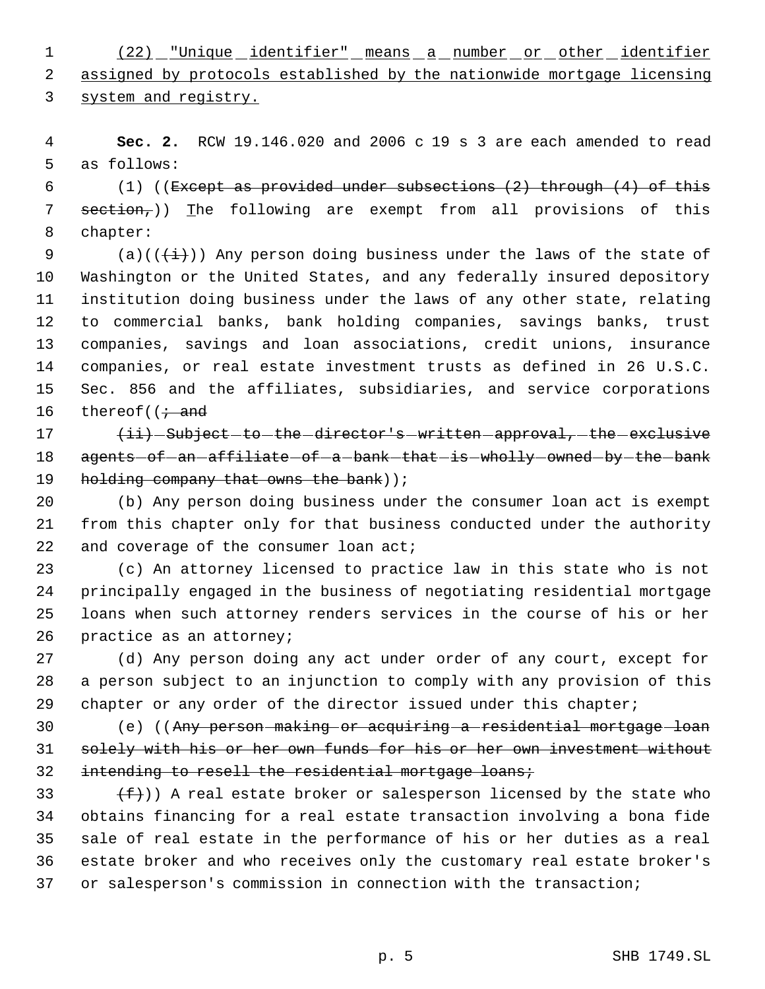(22) "Unique identifier" means a number or other identifier assigned by protocols established by the nationwide mortgage licensing system and registry.

 **Sec. 2.** RCW 19.146.020 and 2006 c 19 s 3 are each amended to read as follows:

 $(1)$  ((Except as provided under subsections  $(2)$  through  $(4)$  of this 7  $section<sub>r</sub>)$ ) The following are exempt from all provisions of this chapter:

9 (a)( $(\frac{1}{2})$ ) Any person doing business under the laws of the state of Washington or the United States, and any federally insured depository institution doing business under the laws of any other state, relating to commercial banks, bank holding companies, savings banks, trust companies, savings and loan associations, credit unions, insurance companies, or real estate investment trusts as defined in 26 U.S.C. Sec. 856 and the affiliates, subsidiaries, and service corporations 16 thereof( $\mathfrak{f}$  and

17  $\{ii\}$  -Subject -to -the director's written approval, the exclusive 18 agents of an affiliate of a bank that is wholly owned by the bank 19 holding company that owns the bank) );

 (b) Any person doing business under the consumer loan act is exempt from this chapter only for that business conducted under the authority 22 and coverage of the consumer loan act;

 (c) An attorney licensed to practice law in this state who is not principally engaged in the business of negotiating residential mortgage loans when such attorney renders services in the course of his or her practice as an attorney;

 (d) Any person doing any act under order of any court, except for a person subject to an injunction to comply with any provision of this 29 chapter or any order of the director issued under this chapter;

30 (e) ((Any person-making or acquiring a residential mortgage loan solely with his or her own funds for his or her own investment without 32 intending to resell the residential mortgage loans;

 $(f)$ ) A real estate broker or salesperson licensed by the state who obtains financing for a real estate transaction involving a bona fide sale of real estate in the performance of his or her duties as a real estate broker and who receives only the customary real estate broker's or salesperson's commission in connection with the transaction;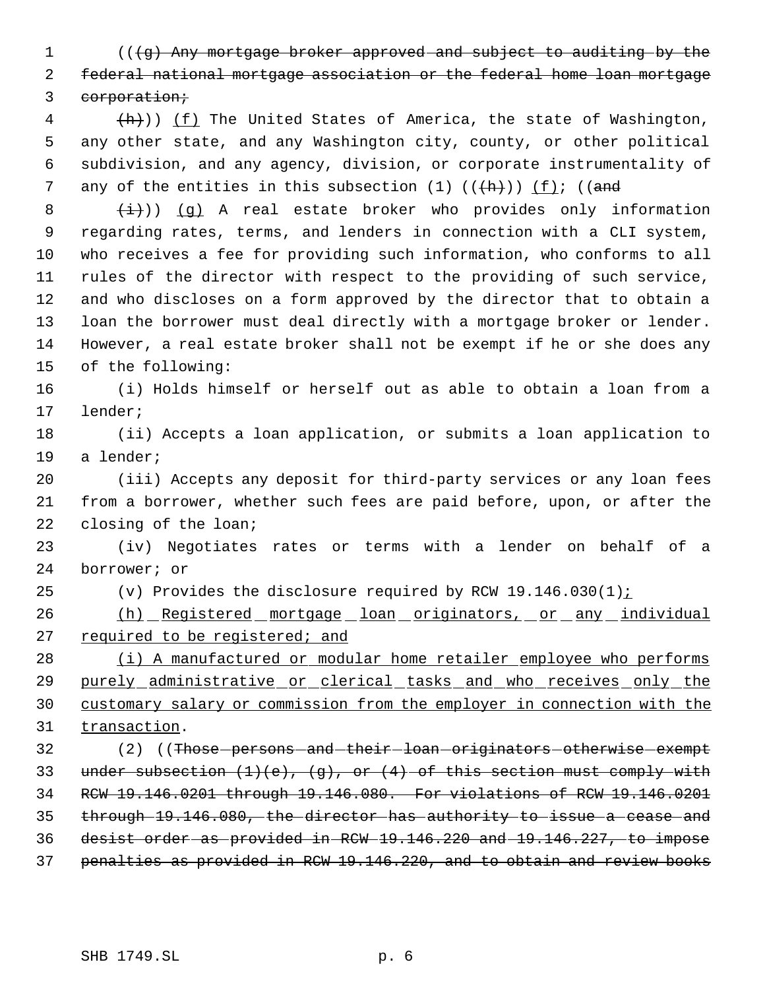1 (((g) Any mortgage broker approved and subject to auditing by the federal national mortgage association or the federal home loan mortgage 3 corporation;

4 (h)) (f) The United States of America, the state of Washington, any other state, and any Washington city, county, or other political subdivision, and any agency, division, or corporate instrumentality of 7 any of the entities in this subsection  $(1)$   $((\text{+}h))$   $(f)$ ;  $((\text{and}$ 

 $(\frac{1}{1})$ ) (g) A real estate broker who provides only information regarding rates, terms, and lenders in connection with a CLI system, who receives a fee for providing such information, who conforms to all rules of the director with respect to the providing of such service, and who discloses on a form approved by the director that to obtain a loan the borrower must deal directly with a mortgage broker or lender. However, a real estate broker shall not be exempt if he or she does any of the following:

 (i) Holds himself or herself out as able to obtain a loan from a lender;

 (ii) Accepts a loan application, or submits a loan application to a lender;

 (iii) Accepts any deposit for third-party services or any loan fees from a borrower, whether such fees are paid before, upon, or after the closing of the loan;

 (iv) Negotiates rates or terms with a lender on behalf of a borrower; or

25 (v) Provides the disclosure required by RCW  $19.146.030(1)$  i

26 (h) Registered mortgage loan originators, or any individual required to be registered; and

28 (i) A manufactured or modular home retailer employee who performs purely administrative or clerical tasks and who receives only the customary salary or commission from the employer in connection with the 31 transaction.

32 (2) ((Those persons and their loan originators otherwise exempt 33 under subsection  $(1)(e)$ ,  $(g)$ , or  $(4)$  of this section must comply with RCW 19.146.0201 through 19.146.080. For violations of RCW 19.146.0201 through 19.146.080, the director has authority to issue a cease and desist order as provided in RCW 19.146.220 and 19.146.227, to impose penalties as provided in RCW 19.146.220, and to obtain and review books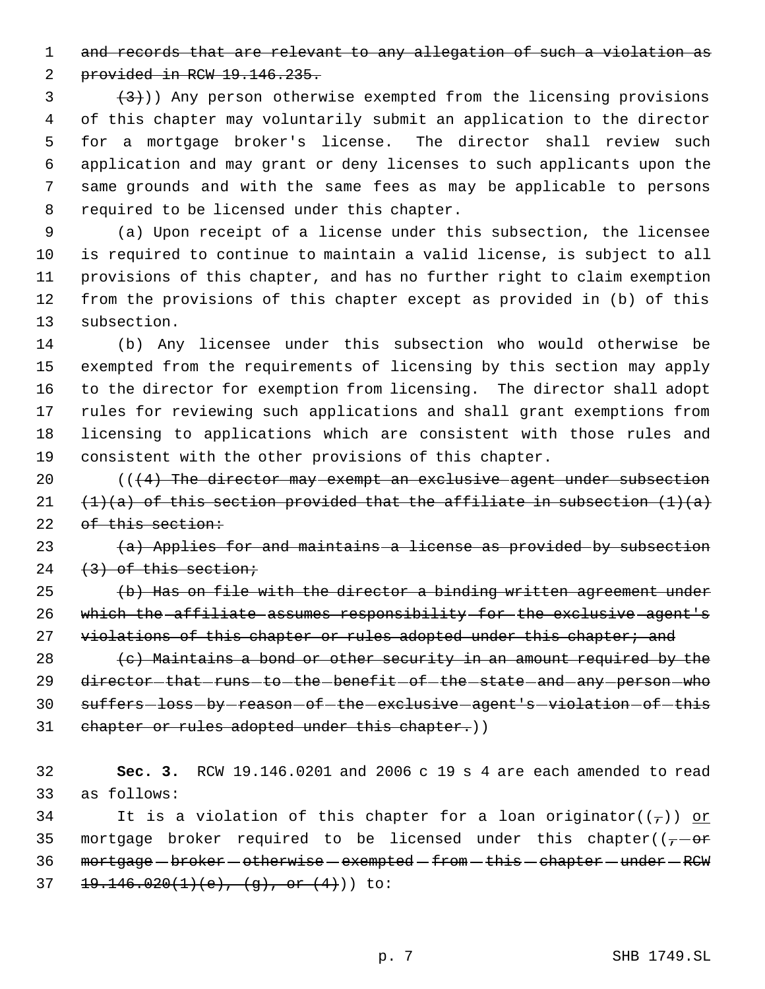1 and records that are relevant to any allegation of such a violation as

provided in RCW 19.146.235.

 $(3)$  (3)) Any person otherwise exempted from the licensing provisions of this chapter may voluntarily submit an application to the director for a mortgage broker's license. The director shall review such application and may grant or deny licenses to such applicants upon the same grounds and with the same fees as may be applicable to persons required to be licensed under this chapter.

 (a) Upon receipt of a license under this subsection, the licensee is required to continue to maintain a valid license, is subject to all provisions of this chapter, and has no further right to claim exemption from the provisions of this chapter except as provided in (b) of this subsection.

 (b) Any licensee under this subsection who would otherwise be exempted from the requirements of licensing by this section may apply to the director for exemption from licensing. The director shall adopt rules for reviewing such applications and shall grant exemptions from licensing to applications which are consistent with those rules and consistent with the other provisions of this chapter.

 $((4)$  The director may exempt an exclusive agent under subsection 21  $(1)(a)$  of this section provided that the affiliate in subsection  $(1)(a)$ 22 of this section:

 $(a)$  Applies for and maintains a license as provided by subsection 24  $(3)$  of this section;

 (b) Has on file with the director a binding written agreement under which the affiliate assumes responsibility for the exclusive agent's 27 violations of this chapter or rules adopted under this chapter; and

28  $(e)$  Maintains a bond or other security in an amount required by the 29 director that runs to the benefit of the state and any person who 30 suffers-loss-by-reason-of-the-exclusive-agent's-violation-of-this 31 chapter or rules adopted under this chapter.))

 **Sec. 3.** RCW 19.146.0201 and 2006 c 19 s 4 are each amended to read as follows:

34 It is a violation of this chapter for a loan originator( $(\tau)$ ) or 35 mortgage broker required to be licensed under this chapter( $(-,-\sigma)^2$ 36 mortgage - broker - otherwise - exempted - from - this - chapter - under - RCW 37  $19.146.020(1)(e), (g), or (4))$  to: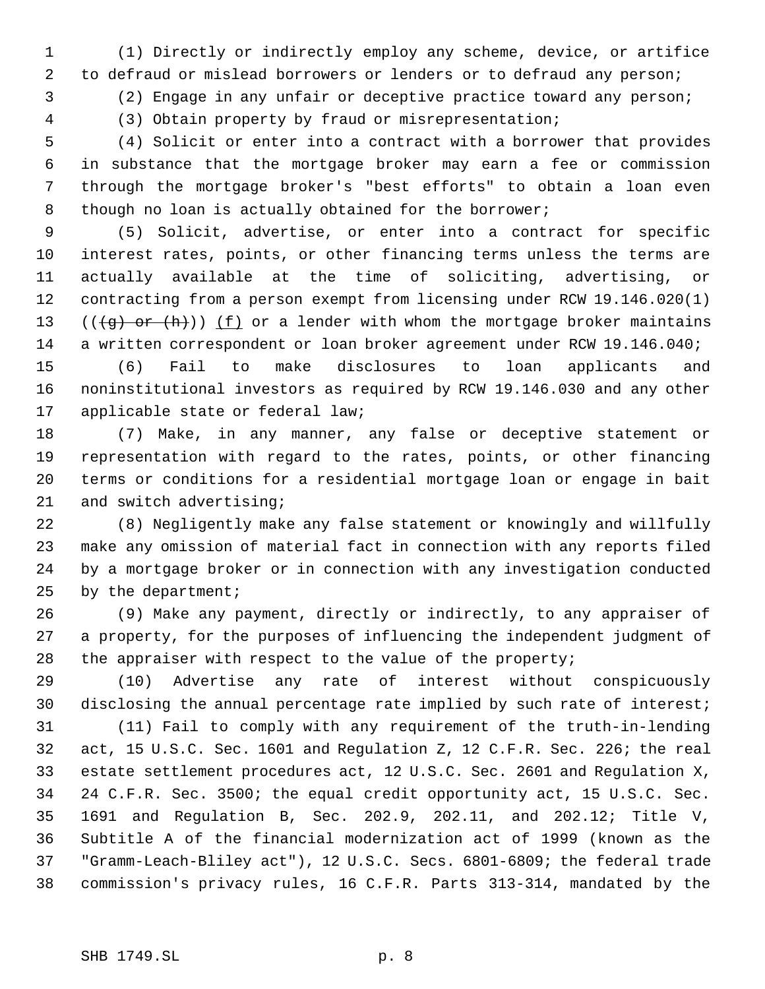(1) Directly or indirectly employ any scheme, device, or artifice to defraud or mislead borrowers or lenders or to defraud any person;

(2) Engage in any unfair or deceptive practice toward any person;

(3) Obtain property by fraud or misrepresentation;

 (4) Solicit or enter into a contract with a borrower that provides in substance that the mortgage broker may earn a fee or commission through the mortgage broker's "best efforts" to obtain a loan even 8 though no loan is actually obtained for the borrower;

 (5) Solicit, advertise, or enter into a contract for specific interest rates, points, or other financing terms unless the terms are actually available at the time of soliciting, advertising, or contracting from a person exempt from licensing under RCW 19.146.020(1) 13 ( $(\overline{(g)} \text{ or } (h))$ ) (f) or a lender with whom the mortgage broker maintains a written correspondent or loan broker agreement under RCW 19.146.040;

 (6) Fail to make disclosures to loan applicants and noninstitutional investors as required by RCW 19.146.030 and any other applicable state or federal law;

 (7) Make, in any manner, any false or deceptive statement or representation with regard to the rates, points, or other financing terms or conditions for a residential mortgage loan or engage in bait and switch advertising;

 (8) Negligently make any false statement or knowingly and willfully make any omission of material fact in connection with any reports filed by a mortgage broker or in connection with any investigation conducted by the department;

 (9) Make any payment, directly or indirectly, to any appraiser of a property, for the purposes of influencing the independent judgment of 28 the appraiser with respect to the value of the property;

 (10) Advertise any rate of interest without conspicuously disclosing the annual percentage rate implied by such rate of interest;

 (11) Fail to comply with any requirement of the truth-in-lending act, 15 U.S.C. Sec. 1601 and Regulation Z, 12 C.F.R. Sec. 226; the real estate settlement procedures act, 12 U.S.C. Sec. 2601 and Regulation X, 24 C.F.R. Sec. 3500; the equal credit opportunity act, 15 U.S.C. Sec. 1691 and Regulation B, Sec. 202.9, 202.11, and 202.12; Title V, Subtitle A of the financial modernization act of 1999 (known as the "Gramm-Leach-Bliley act"), 12 U.S.C. Secs. 6801-6809; the federal trade commission's privacy rules, 16 C.F.R. Parts 313-314, mandated by the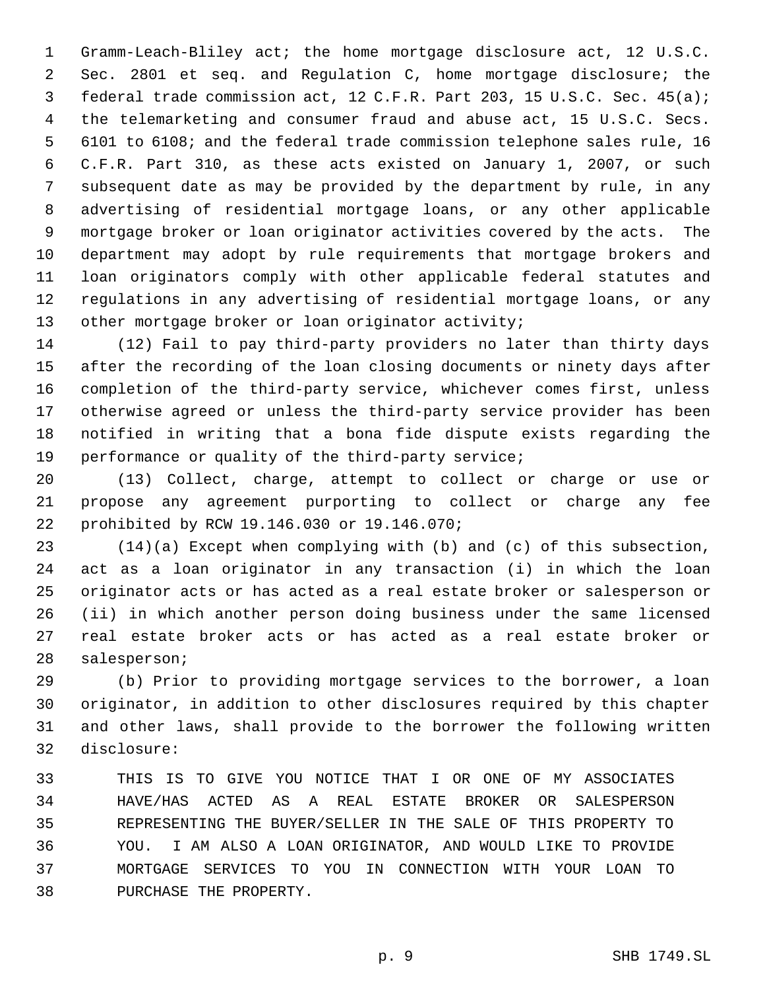Gramm-Leach-Bliley act; the home mortgage disclosure act, 12 U.S.C. Sec. 2801 et seq. and Regulation C, home mortgage disclosure; the federal trade commission act, 12 C.F.R. Part 203, 15 U.S.C. Sec. 45(a); the telemarketing and consumer fraud and abuse act, 15 U.S.C. Secs. 6101 to 6108; and the federal trade commission telephone sales rule, 16 C.F.R. Part 310, as these acts existed on January 1, 2007, or such subsequent date as may be provided by the department by rule, in any advertising of residential mortgage loans, or any other applicable mortgage broker or loan originator activities covered by the acts. The department may adopt by rule requirements that mortgage brokers and loan originators comply with other applicable federal statutes and regulations in any advertising of residential mortgage loans, or any 13 other mortgage broker or loan originator activity;

 (12) Fail to pay third-party providers no later than thirty days after the recording of the loan closing documents or ninety days after completion of the third-party service, whichever comes first, unless otherwise agreed or unless the third-party service provider has been notified in writing that a bona fide dispute exists regarding the performance or quality of the third-party service;

 (13) Collect, charge, attempt to collect or charge or use or propose any agreement purporting to collect or charge any fee prohibited by RCW 19.146.030 or 19.146.070;

 (14)(a) Except when complying with (b) and (c) of this subsection, act as a loan originator in any transaction (i) in which the loan originator acts or has acted as a real estate broker or salesperson or (ii) in which another person doing business under the same licensed real estate broker acts or has acted as a real estate broker or salesperson;

 (b) Prior to providing mortgage services to the borrower, a loan originator, in addition to other disclosures required by this chapter and other laws, shall provide to the borrower the following written disclosure:

 THIS IS TO GIVE YOU NOTICE THAT I OR ONE OF MY ASSOCIATES HAVE/HAS ACTED AS A REAL ESTATE BROKER OR SALESPERSON REPRESENTING THE BUYER/SELLER IN THE SALE OF THIS PROPERTY TO YOU. I AM ALSO A LOAN ORIGINATOR, AND WOULD LIKE TO PROVIDE MORTGAGE SERVICES TO YOU IN CONNECTION WITH YOUR LOAN TO PURCHASE THE PROPERTY.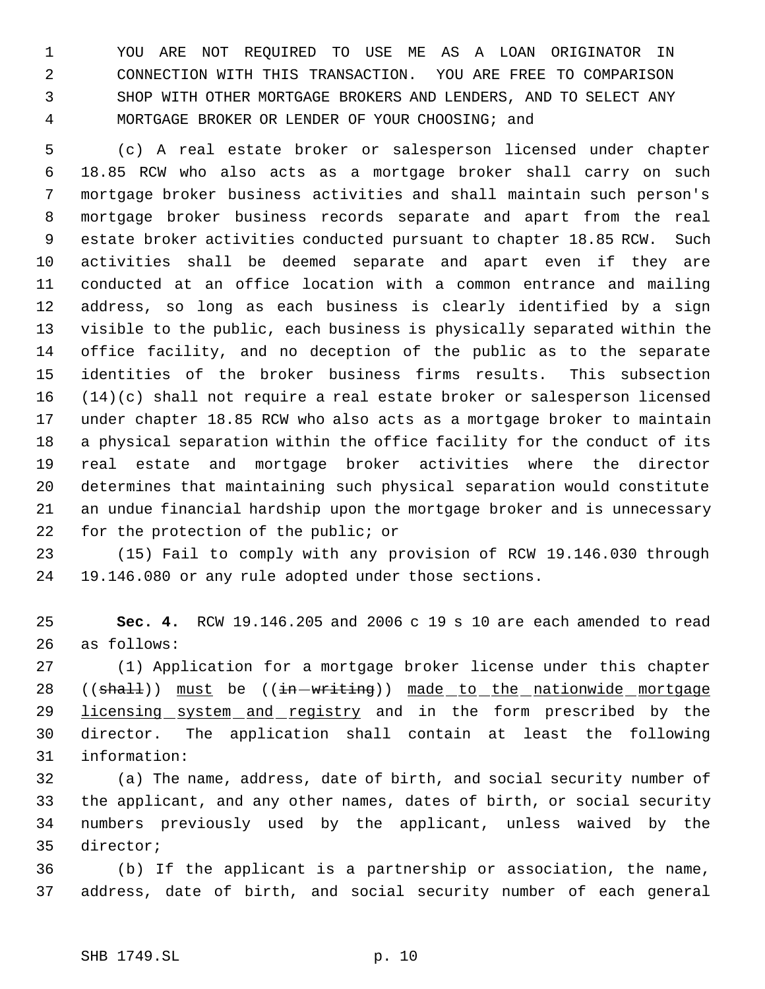YOU ARE NOT REQUIRED TO USE ME AS A LOAN ORIGINATOR IN CONNECTION WITH THIS TRANSACTION. YOU ARE FREE TO COMPARISON SHOP WITH OTHER MORTGAGE BROKERS AND LENDERS, AND TO SELECT ANY MORTGAGE BROKER OR LENDER OF YOUR CHOOSING; and

 (c) A real estate broker or salesperson licensed under chapter 18.85 RCW who also acts as a mortgage broker shall carry on such mortgage broker business activities and shall maintain such person's mortgage broker business records separate and apart from the real estate broker activities conducted pursuant to chapter 18.85 RCW. Such activities shall be deemed separate and apart even if they are conducted at an office location with a common entrance and mailing address, so long as each business is clearly identified by a sign visible to the public, each business is physically separated within the office facility, and no deception of the public as to the separate identities of the broker business firms results. This subsection (14)(c) shall not require a real estate broker or salesperson licensed under chapter 18.85 RCW who also acts as a mortgage broker to maintain a physical separation within the office facility for the conduct of its real estate and mortgage broker activities where the director determines that maintaining such physical separation would constitute an undue financial hardship upon the mortgage broker and is unnecessary for the protection of the public; or

 (15) Fail to comply with any provision of RCW 19.146.030 through 19.146.080 or any rule adopted under those sections.

 **Sec. 4.** RCW 19.146.205 and 2006 c 19 s 10 are each amended to read as follows:

 (1) Application for a mortgage broker license under this chapter 28 ((shall)) must be ((in-writing)) made to the nationwide mortgage 29 licensing system and registry and in the form prescribed by the director. The application shall contain at least the following information:

 (a) The name, address, date of birth, and social security number of the applicant, and any other names, dates of birth, or social security numbers previously used by the applicant, unless waived by the director;

 (b) If the applicant is a partnership or association, the name, address, date of birth, and social security number of each general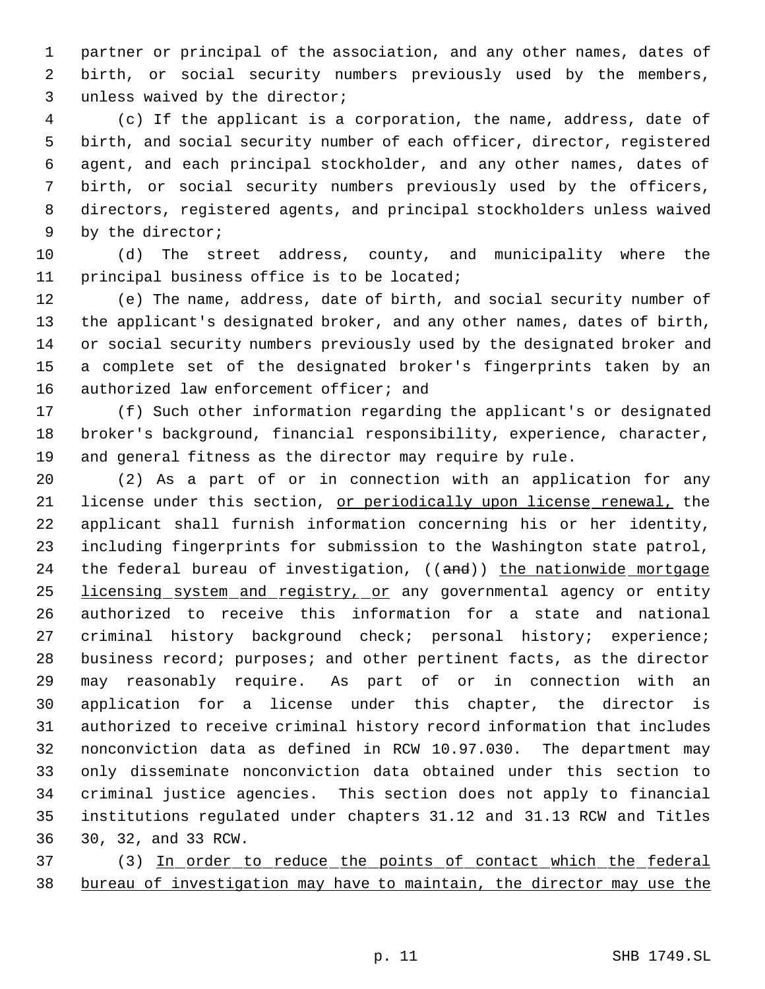partner or principal of the association, and any other names, dates of birth, or social security numbers previously used by the members, unless waived by the director;

 (c) If the applicant is a corporation, the name, address, date of birth, and social security number of each officer, director, registered agent, and each principal stockholder, and any other names, dates of birth, or social security numbers previously used by the officers, directors, registered agents, and principal stockholders unless waived by the director;

 (d) The street address, county, and municipality where the principal business office is to be located;

 (e) The name, address, date of birth, and social security number of the applicant's designated broker, and any other names, dates of birth, or social security numbers previously used by the designated broker and a complete set of the designated broker's fingerprints taken by an 16 authorized law enforcement officer; and

 (f) Such other information regarding the applicant's or designated broker's background, financial responsibility, experience, character, and general fitness as the director may require by rule.

 (2) As a part of or in connection with an application for any license under this section, or periodically upon license renewal, the applicant shall furnish information concerning his or her identity, including fingerprints for submission to the Washington state patrol, 24 the federal bureau of investigation, ((and)) the nationwide mortgage 25 licensing system and registry, or any governmental agency or entity authorized to receive this information for a state and national criminal history background check; personal history; experience; business record; purposes; and other pertinent facts, as the director may reasonably require. As part of or in connection with an application for a license under this chapter, the director is authorized to receive criminal history record information that includes nonconviction data as defined in RCW 10.97.030. The department may only disseminate nonconviction data obtained under this section to criminal justice agencies. This section does not apply to financial institutions regulated under chapters 31.12 and 31.13 RCW and Titles 30, 32, and 33 RCW.

 (3) In order to reduce the points of contact which the federal bureau of investigation may have to maintain, the director may use the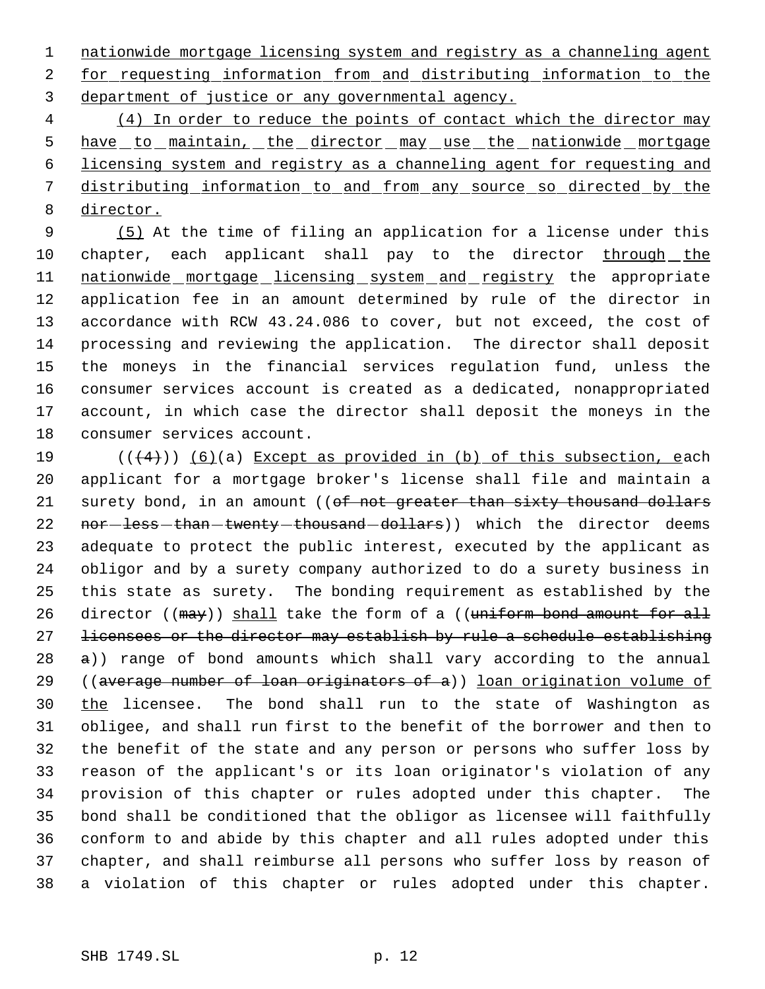nationwide mortgage licensing system and registry as a channeling agent for requesting information from and distributing information to the department of justice or any governmental agency.

 (4) In order to reduce the points of contact which the director may 5 have to maintain, the director may use the nationwide mortgage licensing system and registry as a channeling agent for requesting and distributing information to and from any source so directed by the director.

 (5) At the time of filing an application for a license under this 10 chapter, each applicant shall pay to the director through the 11 nationwide mortgage licensing system and registry the appropriate application fee in an amount determined by rule of the director in accordance with RCW 43.24.086 to cover, but not exceed, the cost of processing and reviewing the application. The director shall deposit the moneys in the financial services regulation fund, unless the consumer services account is created as a dedicated, nonappropriated account, in which case the director shall deposit the moneys in the consumer services account.

 $((4+))$  (6)(a) Except as provided in (b) of this subsection, each applicant for a mortgage broker's license shall file and maintain a 21 surety bond, in an amount ((of not greater than sixty thousand dollars 22 nor-less-than-twenty-thousand-dollars)) which the director deems adequate to protect the public interest, executed by the applicant as obligor and by a surety company authorized to do a surety business in this state as surety. The bonding requirement as established by the 26 director ((may)) shall take the form of a ((uniform bond amount for all licensees or the director may establish by rule a schedule establishing  $\alpha$ )) range of bond amounts which shall vary according to the annual ((average number of loan originators of a)) loan origination volume of 30 the licensee. The bond shall run to the state of Washington as obligee, and shall run first to the benefit of the borrower and then to the benefit of the state and any person or persons who suffer loss by reason of the applicant's or its loan originator's violation of any provision of this chapter or rules adopted under this chapter. The bond shall be conditioned that the obligor as licensee will faithfully conform to and abide by this chapter and all rules adopted under this chapter, and shall reimburse all persons who suffer loss by reason of a violation of this chapter or rules adopted under this chapter.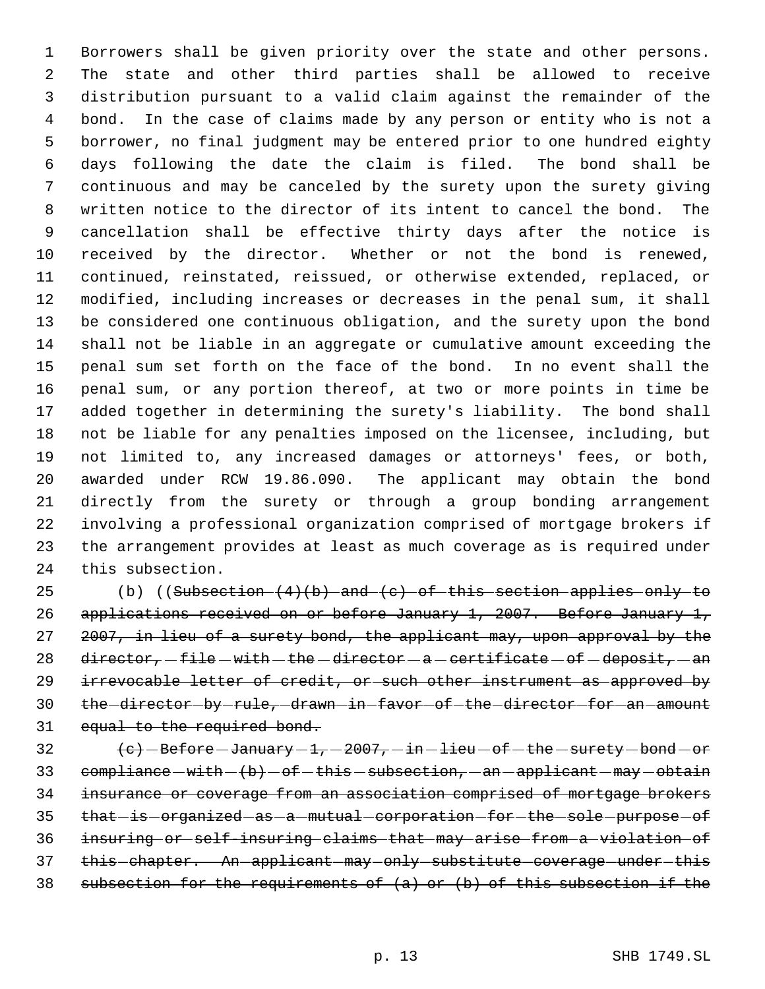Borrowers shall be given priority over the state and other persons. The state and other third parties shall be allowed to receive distribution pursuant to a valid claim against the remainder of the bond. In the case of claims made by any person or entity who is not a borrower, no final judgment may be entered prior to one hundred eighty days following the date the claim is filed. The bond shall be continuous and may be canceled by the surety upon the surety giving written notice to the director of its intent to cancel the bond. The cancellation shall be effective thirty days after the notice is received by the director. Whether or not the bond is renewed, continued, reinstated, reissued, or otherwise extended, replaced, or modified, including increases or decreases in the penal sum, it shall be considered one continuous obligation, and the surety upon the bond shall not be liable in an aggregate or cumulative amount exceeding the penal sum set forth on the face of the bond. In no event shall the penal sum, or any portion thereof, at two or more points in time be added together in determining the surety's liability. The bond shall not be liable for any penalties imposed on the licensee, including, but not limited to, any increased damages or attorneys' fees, or both, awarded under RCW 19.86.090. The applicant may obtain the bond directly from the surety or through a group bonding arrangement involving a professional organization comprised of mortgage brokers if the arrangement provides at least as much coverage as is required under this subsection.

25 (b) ((Subsection  $(4)(b)$  and  $(c)$  of this section applies only to applications received on or before January 1, 2007. Before January 1, 27 2007, in lieu of a surety bond, the applicant may, upon approval by the 28 director,  $-file - with - the - director - a - certificate - of - deposit, -an$ 29 irrevocable letter of credit, or such other instrument as approved by 30 the director by rule, drawn in favor of the director for an amount 31 equal to the required bond.

32  $(e)$  -Before -January -1, -2007, -in -lieu -of -the -surety -bond -or 33  $compliance - with - (b) - of - this - subsection, -an - applied - may - obtain$  insurance or coverage from an association comprised of mortgage brokers 35 that-is-organized-as-a-mutual-corporation-for-the-sole-purpose-of insuring or self-insuring claims that may arise from a violation of 37 this chapter. An applicant may only substitute coverage under this 38 subsection for the requirements of  $(a)$  or  $(b)$  of this subsection if the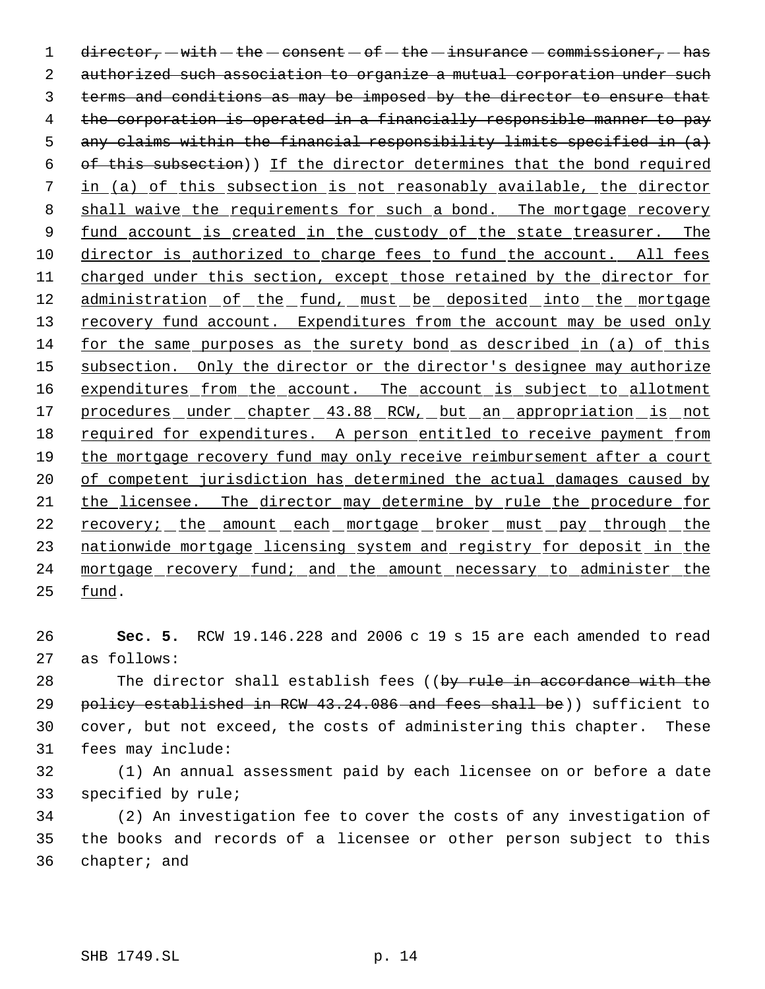1 director,  $-with - the - constant - of - the - insurance - commissioner, - has$  2 authorized such association to organize a mutual corporation under such 3 terms and conditions as may be imposed by the director to ensure that 4 the corporation is operated in a financially responsible manner to pay 5 any claims within the financial responsibility limits specified in  $(a)$  6 of this subsection)) If the director determines that the bond required 7 in (a) of this subsection is not reasonably available, the director 8 shall waive the requirements for such a bond. The mortgage recovery 9 fund account is created in the custody of the state treasurer. The 10 director is authorized to charge fees to fund the account. All fees 11 charged under this section, except those retained by the director for 12 administration of the fund, must be deposited into the mortgage 13 recovery fund account. Expenditures from the account may be used only 14 for the same purposes as the surety bond as described in (a) of this 15 subsection. Only the director or the director's designee may authorize 16 expenditures from the account. The account is subject to allotment 17 procedures under chapter 43.88 RCW, but an appropriation is not 18 required for expenditures. A person entitled to receive payment from 19 the mortgage recovery fund may only receive reimbursement after a court 20 of competent jurisdiction has determined the actual damages caused by 21 the licensee. The director may determine by rule the procedure for 22 recovery; the amount each mortgage broker must pay through the 23 nationwide mortgage licensing system and registry for deposit in the 24 mortgage recovery fund; and the amount necessary to administer the 25 fund.

26 **Sec. 5.** RCW 19.146.228 and 2006 c 19 s 15 are each amended to read 27 as follows:

28 The director shall establish fees ((by rule in accordance with the 29 policy established in RCW 43.24.086 and fees shall be)) sufficient to 30 cover, but not exceed, the costs of administering this chapter. These 31 fees may include:

32 (1) An annual assessment paid by each licensee on or before a date 33 specified by rule;

34 (2) An investigation fee to cover the costs of any investigation of 35 the books and records of a licensee or other person subject to this 36 chapter; and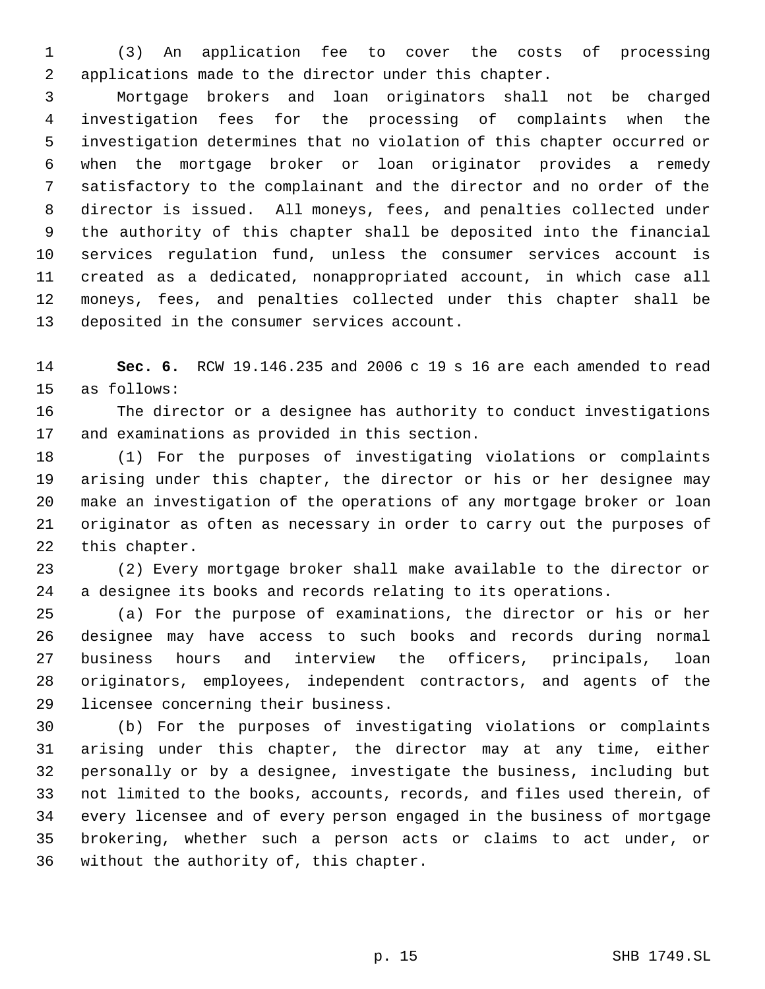(3) An application fee to cover the costs of processing applications made to the director under this chapter.

 Mortgage brokers and loan originators shall not be charged investigation fees for the processing of complaints when the investigation determines that no violation of this chapter occurred or when the mortgage broker or loan originator provides a remedy satisfactory to the complainant and the director and no order of the director is issued. All moneys, fees, and penalties collected under the authority of this chapter shall be deposited into the financial services regulation fund, unless the consumer services account is created as a dedicated, nonappropriated account, in which case all moneys, fees, and penalties collected under this chapter shall be deposited in the consumer services account.

 **Sec. 6.** RCW 19.146.235 and 2006 c 19 s 16 are each amended to read as follows:

 The director or a designee has authority to conduct investigations and examinations as provided in this section.

 (1) For the purposes of investigating violations or complaints arising under this chapter, the director or his or her designee may make an investigation of the operations of any mortgage broker or loan originator as often as necessary in order to carry out the purposes of this chapter.

 (2) Every mortgage broker shall make available to the director or a designee its books and records relating to its operations.

 (a) For the purpose of examinations, the director or his or her designee may have access to such books and records during normal business hours and interview the officers, principals, loan originators, employees, independent contractors, and agents of the licensee concerning their business.

 (b) For the purposes of investigating violations or complaints arising under this chapter, the director may at any time, either personally or by a designee, investigate the business, including but not limited to the books, accounts, records, and files used therein, of every licensee and of every person engaged in the business of mortgage brokering, whether such a person acts or claims to act under, or without the authority of, this chapter.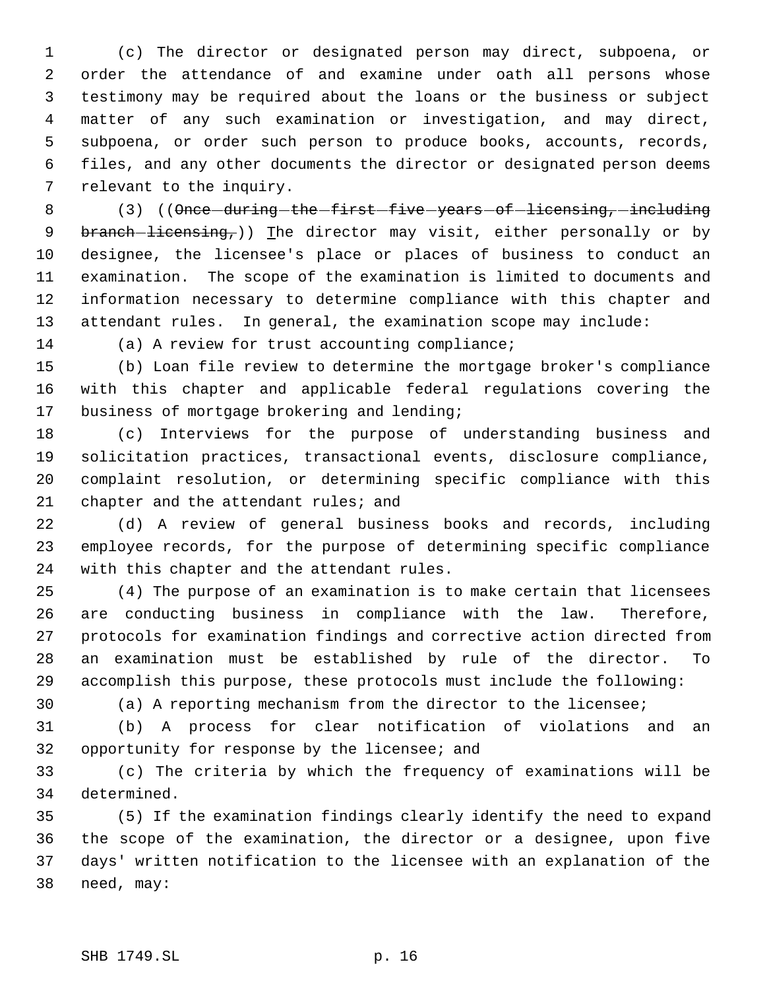(c) The director or designated person may direct, subpoena, or order the attendance of and examine under oath all persons whose testimony may be required about the loans or the business or subject matter of any such examination or investigation, and may direct, subpoena, or order such person to produce books, accounts, records, files, and any other documents the director or designated person deems relevant to the inquiry.

8 (3) ((Once-during-the-first-five-years-of-licensing,-including 9 branch-licensing,)) The director may visit, either personally or by designee, the licensee's place or places of business to conduct an examination. The scope of the examination is limited to documents and information necessary to determine compliance with this chapter and attendant rules. In general, the examination scope may include:

(a) A review for trust accounting compliance;

 (b) Loan file review to determine the mortgage broker's compliance with this chapter and applicable federal regulations covering the business of mortgage brokering and lending;

 (c) Interviews for the purpose of understanding business and solicitation practices, transactional events, disclosure compliance, complaint resolution, or determining specific compliance with this 21 chapter and the attendant rules; and

 (d) A review of general business books and records, including employee records, for the purpose of determining specific compliance with this chapter and the attendant rules.

 (4) The purpose of an examination is to make certain that licensees are conducting business in compliance with the law. Therefore, protocols for examination findings and corrective action directed from an examination must be established by rule of the director. To accomplish this purpose, these protocols must include the following:

(a) A reporting mechanism from the director to the licensee;

 (b) A process for clear notification of violations and an opportunity for response by the licensee; and

 (c) The criteria by which the frequency of examinations will be determined.

 (5) If the examination findings clearly identify the need to expand the scope of the examination, the director or a designee, upon five days' written notification to the licensee with an explanation of the need, may: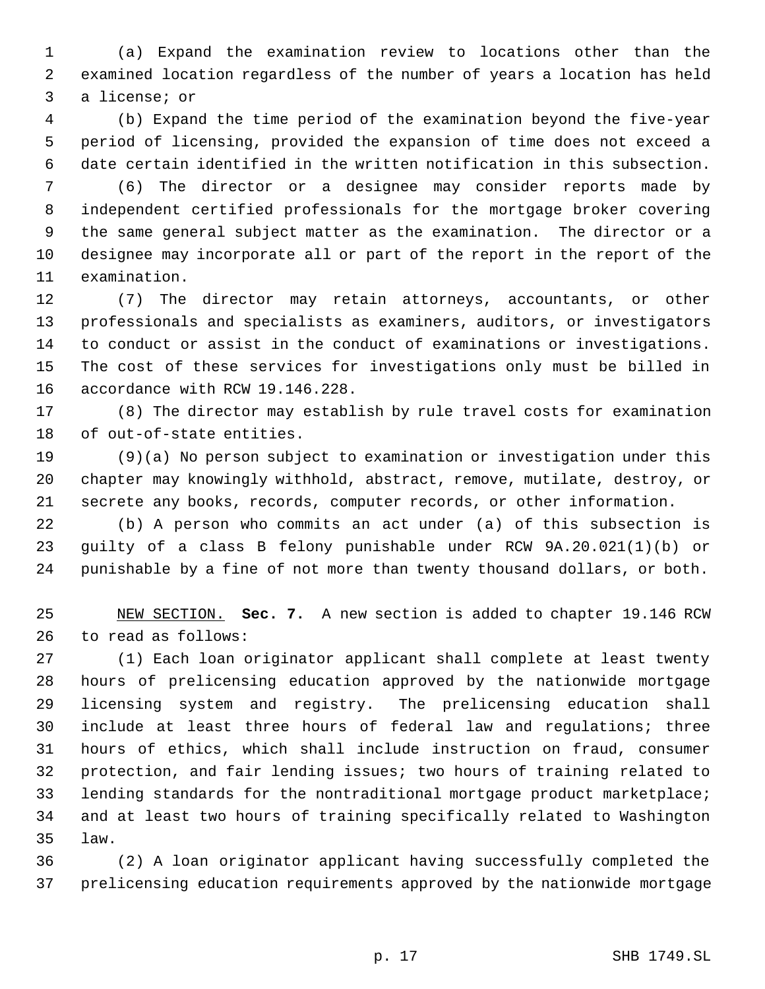(a) Expand the examination review to locations other than the examined location regardless of the number of years a location has held a license; or

 (b) Expand the time period of the examination beyond the five-year period of licensing, provided the expansion of time does not exceed a date certain identified in the written notification in this subsection.

 (6) The director or a designee may consider reports made by independent certified professionals for the mortgage broker covering the same general subject matter as the examination. The director or a designee may incorporate all or part of the report in the report of the examination.

 (7) The director may retain attorneys, accountants, or other professionals and specialists as examiners, auditors, or investigators to conduct or assist in the conduct of examinations or investigations. The cost of these services for investigations only must be billed in accordance with RCW 19.146.228.

 (8) The director may establish by rule travel costs for examination of out-of-state entities.

 (9)(a) No person subject to examination or investigation under this chapter may knowingly withhold, abstract, remove, mutilate, destroy, or secrete any books, records, computer records, or other information.

 (b) A person who commits an act under (a) of this subsection is guilty of a class B felony punishable under RCW 9A.20.021(1)(b) or punishable by a fine of not more than twenty thousand dollars, or both.

 NEW SECTION. **Sec. 7.** A new section is added to chapter 19.146 RCW to read as follows:

 (1) Each loan originator applicant shall complete at least twenty hours of prelicensing education approved by the nationwide mortgage licensing system and registry. The prelicensing education shall include at least three hours of federal law and regulations; three hours of ethics, which shall include instruction on fraud, consumer protection, and fair lending issues; two hours of training related to lending standards for the nontraditional mortgage product marketplace; and at least two hours of training specifically related to Washington law.

 (2) A loan originator applicant having successfully completed the prelicensing education requirements approved by the nationwide mortgage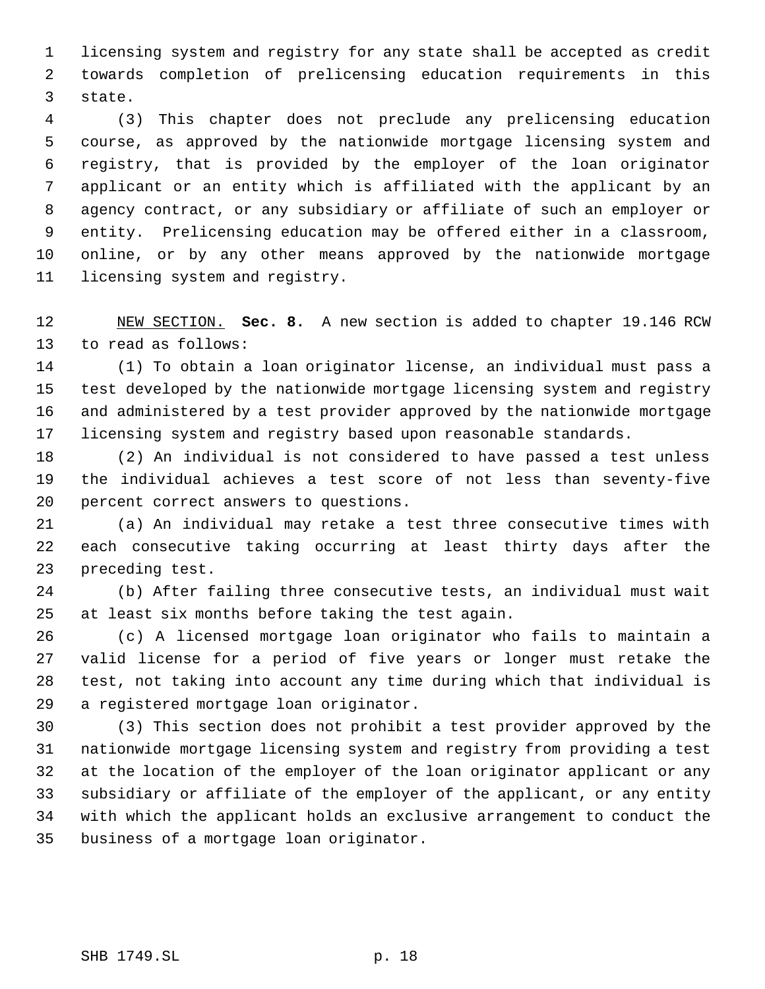licensing system and registry for any state shall be accepted as credit towards completion of prelicensing education requirements in this state.

 (3) This chapter does not preclude any prelicensing education course, as approved by the nationwide mortgage licensing system and registry, that is provided by the employer of the loan originator applicant or an entity which is affiliated with the applicant by an agency contract, or any subsidiary or affiliate of such an employer or entity. Prelicensing education may be offered either in a classroom, online, or by any other means approved by the nationwide mortgage licensing system and registry.

 NEW SECTION. **Sec. 8.** A new section is added to chapter 19.146 RCW to read as follows:

 (1) To obtain a loan originator license, an individual must pass a test developed by the nationwide mortgage licensing system and registry and administered by a test provider approved by the nationwide mortgage licensing system and registry based upon reasonable standards.

 (2) An individual is not considered to have passed a test unless the individual achieves a test score of not less than seventy-five percent correct answers to questions.

 (a) An individual may retake a test three consecutive times with each consecutive taking occurring at least thirty days after the preceding test.

 (b) After failing three consecutive tests, an individual must wait at least six months before taking the test again.

 (c) A licensed mortgage loan originator who fails to maintain a valid license for a period of five years or longer must retake the test, not taking into account any time during which that individual is a registered mortgage loan originator.

 (3) This section does not prohibit a test provider approved by the nationwide mortgage licensing system and registry from providing a test at the location of the employer of the loan originator applicant or any subsidiary or affiliate of the employer of the applicant, or any entity with which the applicant holds an exclusive arrangement to conduct the business of a mortgage loan originator.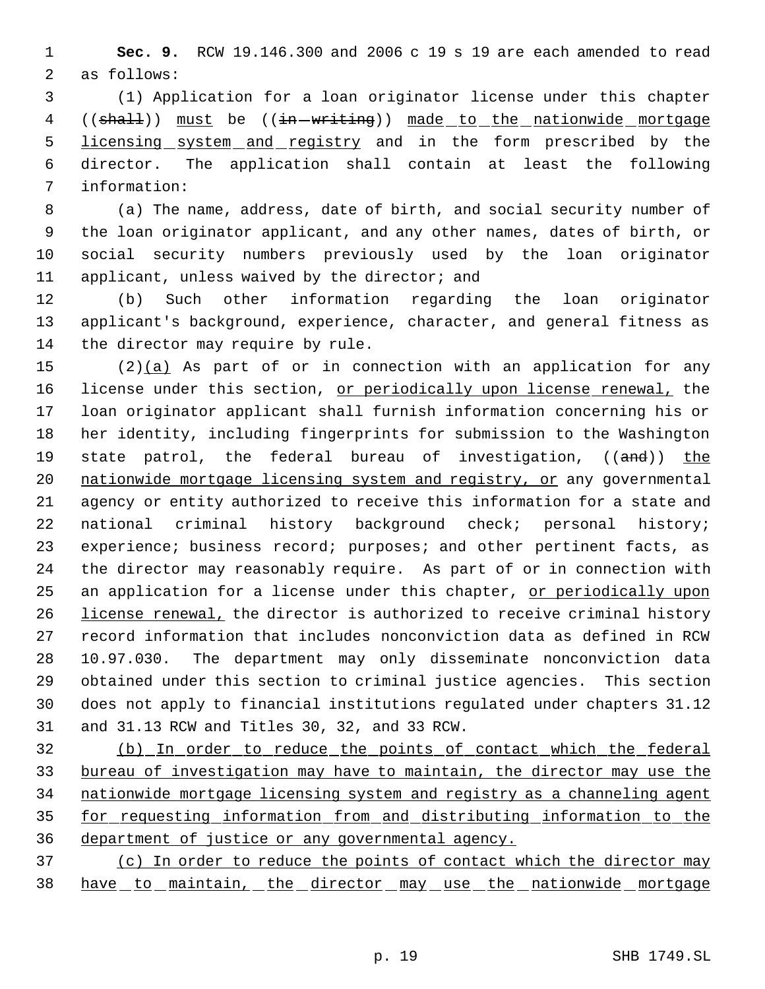**Sec. 9.** RCW 19.146.300 and 2006 c 19 s 19 are each amended to read as follows:

 (1) Application for a loan originator license under this chapter 4 ((shall)) must be ((in-writing)) made to the nationwide mortgage 5 licensing system and registry and in the form prescribed by the director. The application shall contain at least the following information:

 (a) The name, address, date of birth, and social security number of the loan originator applicant, and any other names, dates of birth, or social security numbers previously used by the loan originator 11 applicant, unless waived by the director; and

 (b) Such other information regarding the loan originator applicant's background, experience, character, and general fitness as 14 the director may require by rule.

 (2)(a) As part of or in connection with an application for any 16 license under this section, or periodically upon license renewal, the loan originator applicant shall furnish information concerning his or her identity, including fingerprints for submission to the Washington 19 state patrol, the federal bureau of investigation, ((and)) the nationwide mortgage licensing system and registry, or any governmental agency or entity authorized to receive this information for a state and national criminal history background check; personal history; experience; business record; purposes; and other pertinent facts, as the director may reasonably require. As part of or in connection with 25 an application for a license under this chapter, or periodically upon 26 license renewal, the director is authorized to receive criminal history record information that includes nonconviction data as defined in RCW 10.97.030. The department may only disseminate nonconviction data obtained under this section to criminal justice agencies. This section does not apply to financial institutions regulated under chapters 31.12 and 31.13 RCW and Titles 30, 32, and 33 RCW.

 (b) In order to reduce the points of contact which the federal bureau of investigation may have to maintain, the director may use the nationwide mortgage licensing system and registry as a channeling agent for requesting information from and distributing information to the department of justice or any governmental agency.

 (c) In order to reduce the points of contact which the director may 38 have to maintain, the director may use the nationwide mortgage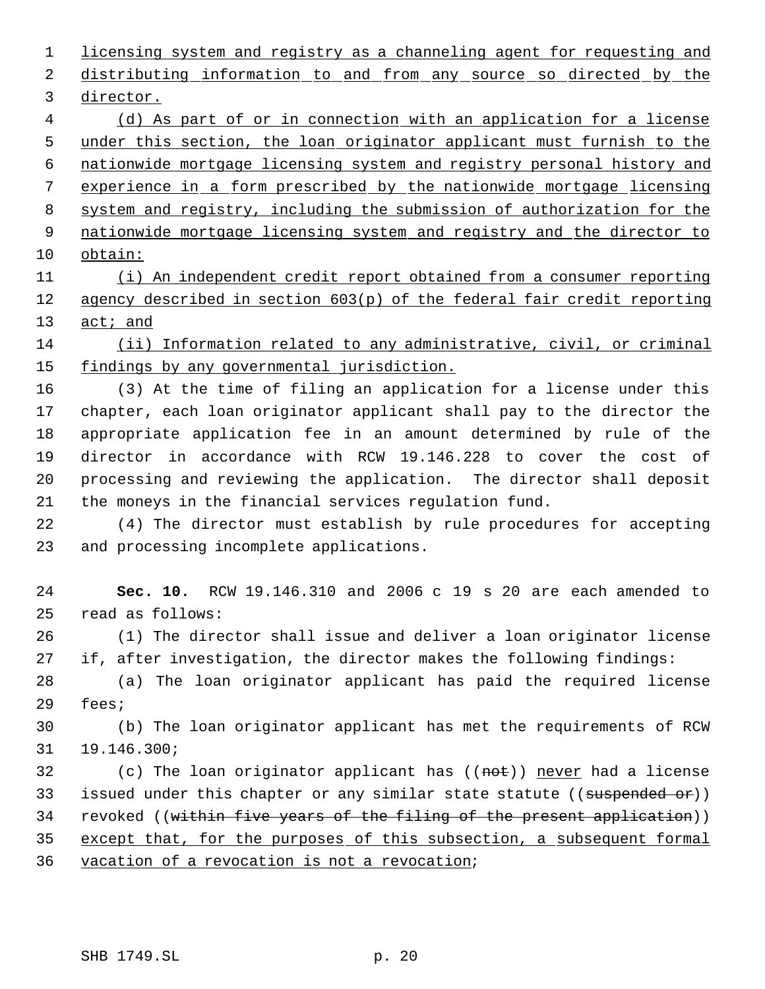licensing system and registry as a channeling agent for requesting and 2 distributing information to and from any source so directed by the director. (d) As part of or in connection with an application for a license under this section, the loan originator applicant must furnish to the nationwide mortgage licensing system and registry personal history and

experience in a form prescribed by the nationwide mortgage licensing

system and registry, including the submission of authorization for the

9 nationwide mortgage licensing system and registry and the director to obtain:

 (i) An independent credit report obtained from a consumer reporting agency described in section 603(p) of the federal fair credit reporting 13 act; and

 (ii) Information related to any administrative, civil, or criminal 15 findings by any governmental jurisdiction.

 (3) At the time of filing an application for a license under this chapter, each loan originator applicant shall pay to the director the appropriate application fee in an amount determined by rule of the director in accordance with RCW 19.146.228 to cover the cost of processing and reviewing the application. The director shall deposit the moneys in the financial services regulation fund.

 (4) The director must establish by rule procedures for accepting and processing incomplete applications.

 **Sec. 10.** RCW 19.146.310 and 2006 c 19 s 20 are each amended to read as follows:

 (1) The director shall issue and deliver a loan originator license if, after investigation, the director makes the following findings:

 (a) The loan originator applicant has paid the required license fees;

 (b) The loan originator applicant has met the requirements of RCW 19.146.300;

32 (c) The loan originator applicant has ((not)) never had a license 33 issued under this chapter or any similar state statute ((suspended or)) 34 revoked ((within five years of the filing of the present application)) except that, for the purposes of this subsection, a subsequent formal vacation of a revocation is not a revocation;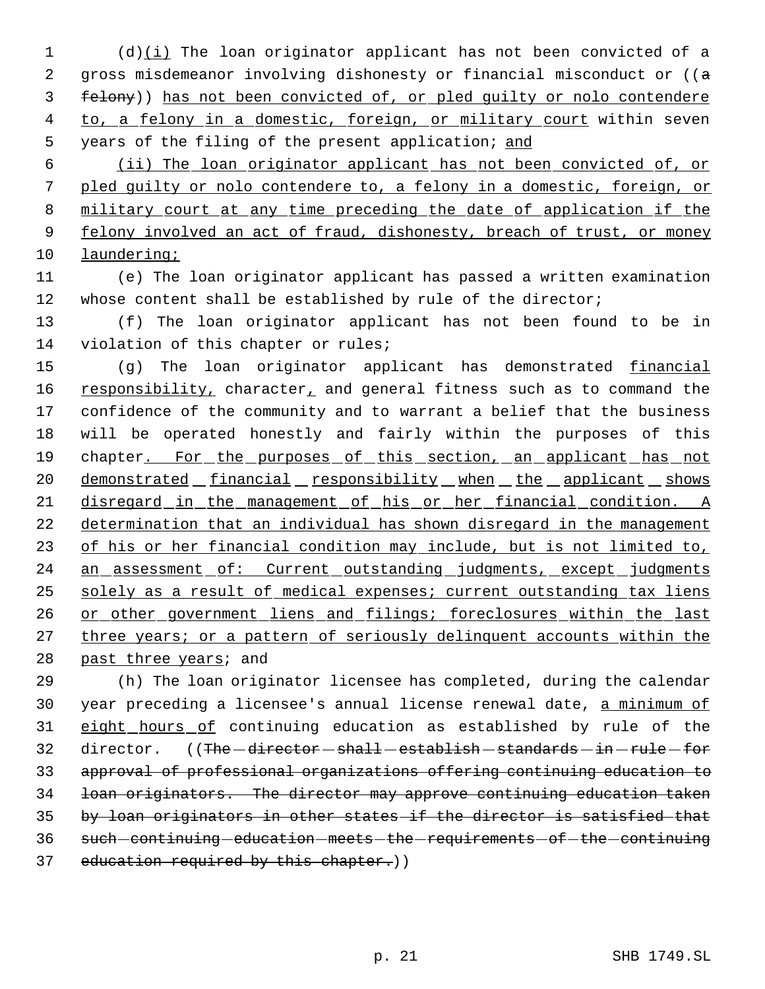1 (d)(i) The loan originator applicant has not been convicted of a 2 gross misdemeanor involving dishonesty or financial misconduct or ((a 3 felony)) has not been convicted of, or pled guilty or nolo contendere 4 to, a felony in a domestic, foreign, or military court within seven 5 years of the filing of the present application; and

 (ii) The loan originator applicant has not been convicted of, or pled guilty or nolo contendere to, a felony in a domestic, foreign, or military court at any time preceding the date of application if the 9 felony involved an act of fraud, dishonesty, breach of trust, or money laundering;

11 (e) The loan originator applicant has passed a written examination 12 whose content shall be established by rule of the director;

13 (f) The loan originator applicant has not been found to be in 14 violation of this chapter or rules;

15 (g) The loan originator applicant has demonstrated financial 16 responsibility, character, and general fitness such as to command the 17 confidence of the community and to warrant a belief that the business 18 will be operated honestly and fairly within the purposes of this 19 chapter. For the purposes of this section, an applicant has not 20 demonstrated financial responsibility when the applicant shows 21 disregard in the management of his or her financial condition. A 22 determination that an individual has shown disregard in the management 23 of his or her financial condition may include, but is not limited to, 24 an assessment of: Current outstanding judgments, except judgments 25 solely as a result of medical expenses; current outstanding tax liens 26 or other government liens and filings; foreclosures within the last 27 three years; or a pattern of seriously delinquent accounts within the 28 past three years; and

29 (h) The loan originator licensee has completed, during the calendar 30 year preceding a licensee's annual license renewal date, a minimum of 31 eight hours of continuing education as established by rule of the 32 director. ((The -director - shall - establish - standards - in - rule - for 33 approval of professional organizations offering continuing education to 34 loan originators. The director may approve continuing education taken 35 by loan originators in other states if the director is satisfied that 36 such continuing education meets the requirements of the continuing 37 education required by this chapter.))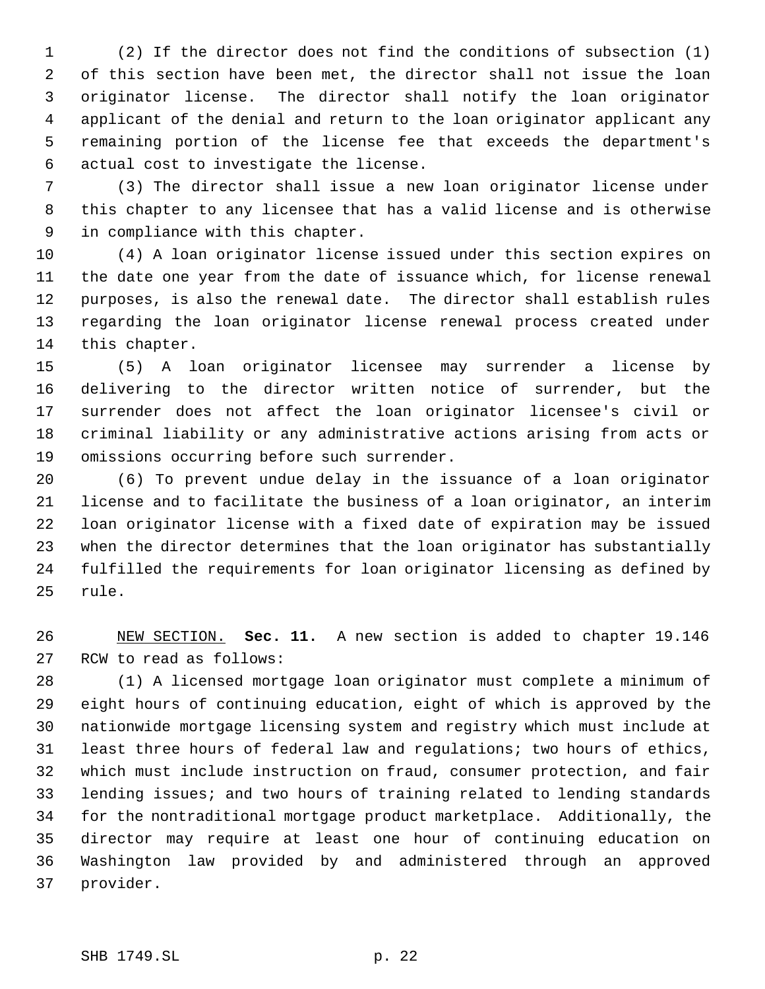(2) If the director does not find the conditions of subsection (1) of this section have been met, the director shall not issue the loan originator license. The director shall notify the loan originator applicant of the denial and return to the loan originator applicant any remaining portion of the license fee that exceeds the department's actual cost to investigate the license.

 (3) The director shall issue a new loan originator license under this chapter to any licensee that has a valid license and is otherwise in compliance with this chapter.

 (4) A loan originator license issued under this section expires on the date one year from the date of issuance which, for license renewal purposes, is also the renewal date. The director shall establish rules regarding the loan originator license renewal process created under this chapter.

 (5) A loan originator licensee may surrender a license by delivering to the director written notice of surrender, but the surrender does not affect the loan originator licensee's civil or criminal liability or any administrative actions arising from acts or omissions occurring before such surrender.

 (6) To prevent undue delay in the issuance of a loan originator license and to facilitate the business of a loan originator, an interim loan originator license with a fixed date of expiration may be issued when the director determines that the loan originator has substantially fulfilled the requirements for loan originator licensing as defined by rule.

 NEW SECTION. **Sec. 11.** A new section is added to chapter 19.146 RCW to read as follows:

 (1) A licensed mortgage loan originator must complete a minimum of eight hours of continuing education, eight of which is approved by the nationwide mortgage licensing system and registry which must include at least three hours of federal law and regulations; two hours of ethics, which must include instruction on fraud, consumer protection, and fair lending issues; and two hours of training related to lending standards for the nontraditional mortgage product marketplace. Additionally, the director may require at least one hour of continuing education on Washington law provided by and administered through an approved provider.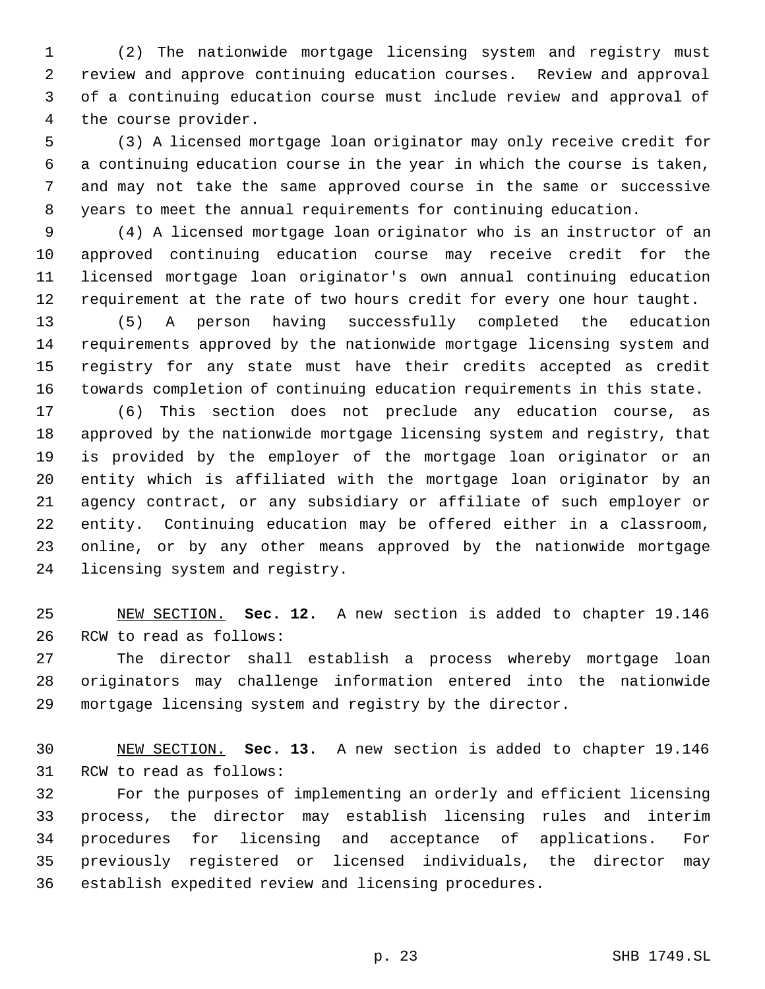(2) The nationwide mortgage licensing system and registry must review and approve continuing education courses. Review and approval of a continuing education course must include review and approval of the course provider.

 (3) A licensed mortgage loan originator may only receive credit for a continuing education course in the year in which the course is taken, and may not take the same approved course in the same or successive years to meet the annual requirements for continuing education.

 (4) A licensed mortgage loan originator who is an instructor of an approved continuing education course may receive credit for the licensed mortgage loan originator's own annual continuing education requirement at the rate of two hours credit for every one hour taught.

 (5) A person having successfully completed the education requirements approved by the nationwide mortgage licensing system and registry for any state must have their credits accepted as credit towards completion of continuing education requirements in this state.

 (6) This section does not preclude any education course, as approved by the nationwide mortgage licensing system and registry, that is provided by the employer of the mortgage loan originator or an entity which is affiliated with the mortgage loan originator by an agency contract, or any subsidiary or affiliate of such employer or entity. Continuing education may be offered either in a classroom, online, or by any other means approved by the nationwide mortgage licensing system and registry.

 NEW SECTION. **Sec. 12.** A new section is added to chapter 19.146 RCW to read as follows:

 The director shall establish a process whereby mortgage loan originators may challenge information entered into the nationwide mortgage licensing system and registry by the director.

 NEW SECTION. **Sec. 13.** A new section is added to chapter 19.146 RCW to read as follows:

 For the purposes of implementing an orderly and efficient licensing process, the director may establish licensing rules and interim procedures for licensing and acceptance of applications. For previously registered or licensed individuals, the director may establish expedited review and licensing procedures.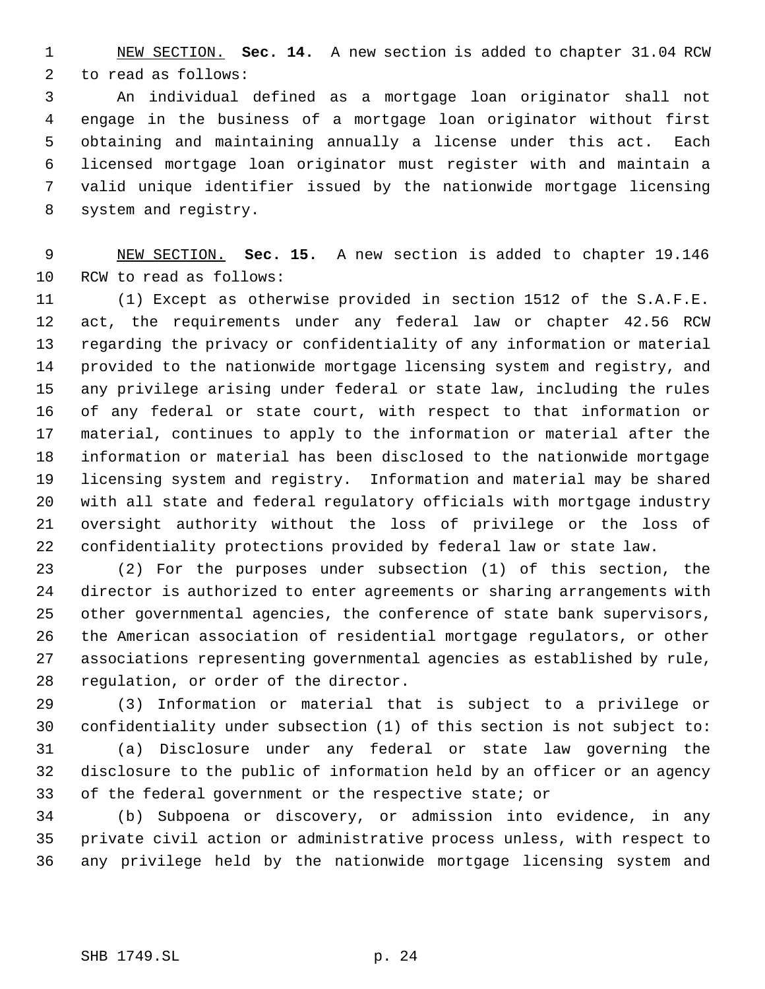NEW SECTION. **Sec. 14.** A new section is added to chapter 31.04 RCW to read as follows:

 An individual defined as a mortgage loan originator shall not engage in the business of a mortgage loan originator without first obtaining and maintaining annually a license under this act. Each licensed mortgage loan originator must register with and maintain a valid unique identifier issued by the nationwide mortgage licensing system and registry.

 NEW SECTION. **Sec. 15.** A new section is added to chapter 19.146 RCW to read as follows:

 (1) Except as otherwise provided in section 1512 of the S.A.F.E. act, the requirements under any federal law or chapter 42.56 RCW regarding the privacy or confidentiality of any information or material provided to the nationwide mortgage licensing system and registry, and any privilege arising under federal or state law, including the rules of any federal or state court, with respect to that information or material, continues to apply to the information or material after the information or material has been disclosed to the nationwide mortgage licensing system and registry. Information and material may be shared with all state and federal regulatory officials with mortgage industry oversight authority without the loss of privilege or the loss of confidentiality protections provided by federal law or state law.

 (2) For the purposes under subsection (1) of this section, the director is authorized to enter agreements or sharing arrangements with other governmental agencies, the conference of state bank supervisors, the American association of residential mortgage regulators, or other associations representing governmental agencies as established by rule, regulation, or order of the director.

 (3) Information or material that is subject to a privilege or confidentiality under subsection (1) of this section is not subject to:

 (a) Disclosure under any federal or state law governing the disclosure to the public of information held by an officer or an agency of the federal government or the respective state; or

 (b) Subpoena or discovery, or admission into evidence, in any private civil action or administrative process unless, with respect to any privilege held by the nationwide mortgage licensing system and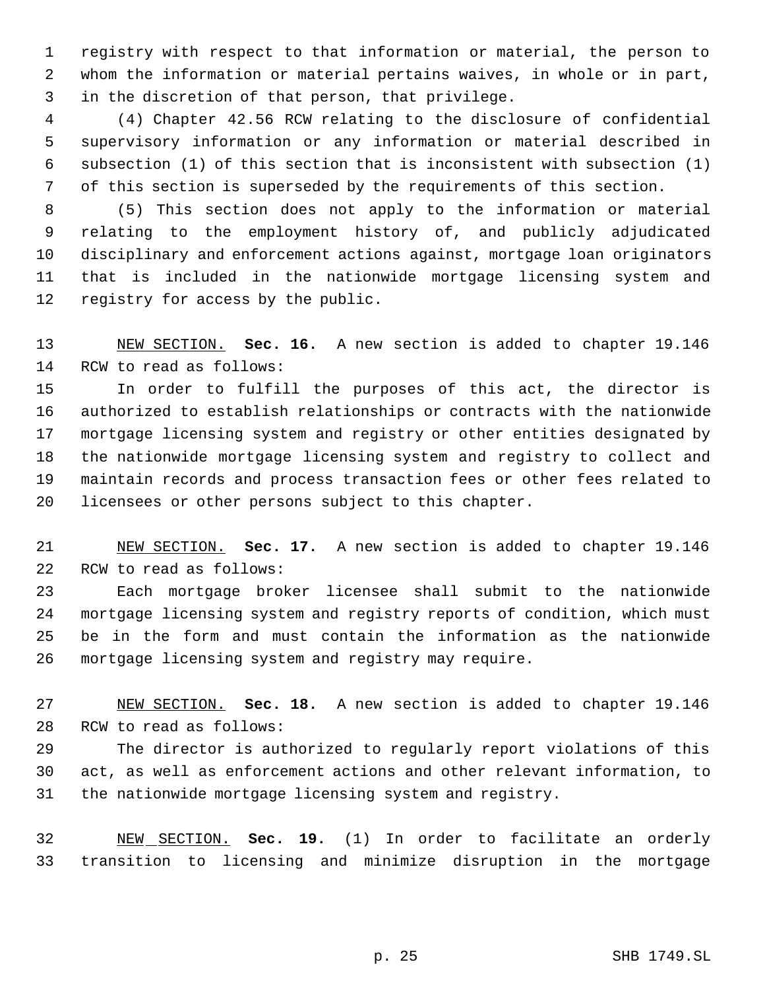registry with respect to that information or material, the person to whom the information or material pertains waives, in whole or in part, in the discretion of that person, that privilege.

 (4) Chapter 42.56 RCW relating to the disclosure of confidential supervisory information or any information or material described in subsection (1) of this section that is inconsistent with subsection (1) of this section is superseded by the requirements of this section.

 (5) This section does not apply to the information or material relating to the employment history of, and publicly adjudicated disciplinary and enforcement actions against, mortgage loan originators that is included in the nationwide mortgage licensing system and registry for access by the public.

 NEW SECTION. **Sec. 16.** A new section is added to chapter 19.146 RCW to read as follows:

 In order to fulfill the purposes of this act, the director is authorized to establish relationships or contracts with the nationwide mortgage licensing system and registry or other entities designated by the nationwide mortgage licensing system and registry to collect and maintain records and process transaction fees or other fees related to licensees or other persons subject to this chapter.

 NEW SECTION. **Sec. 17.** A new section is added to chapter 19.146 RCW to read as follows:

 Each mortgage broker licensee shall submit to the nationwide mortgage licensing system and registry reports of condition, which must be in the form and must contain the information as the nationwide mortgage licensing system and registry may require.

 NEW SECTION. **Sec. 18.** A new section is added to chapter 19.146 RCW to read as follows:

 The director is authorized to regularly report violations of this act, as well as enforcement actions and other relevant information, to the nationwide mortgage licensing system and registry.

 NEW SECTION. **Sec. 19.** (1) In order to facilitate an orderly transition to licensing and minimize disruption in the mortgage